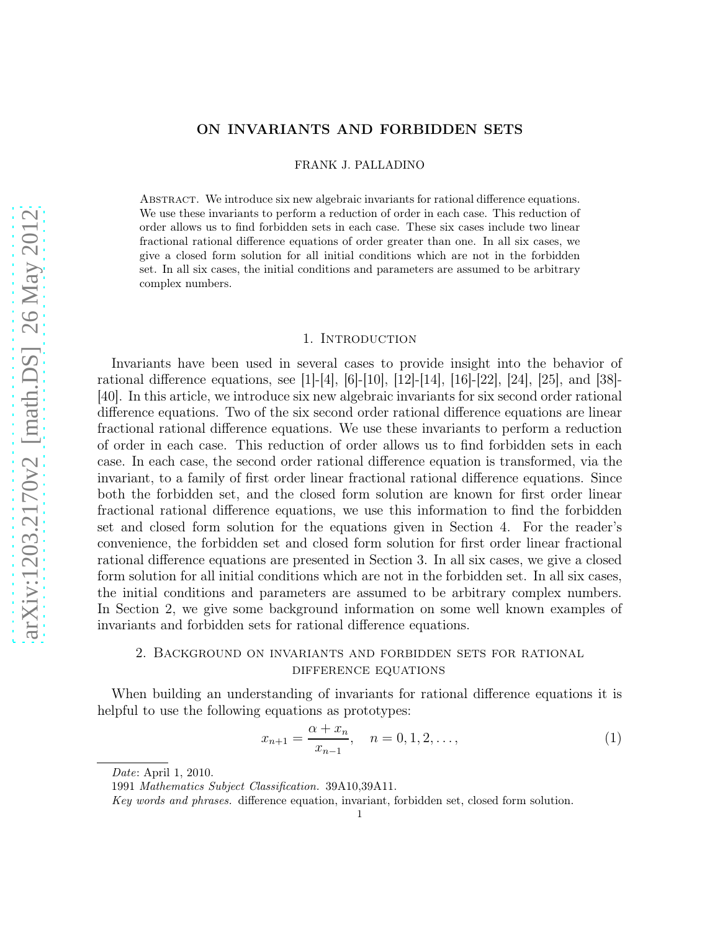## ON INVARIANTS AND FORBIDDEN SETS

FRANK J. PALLADINO

Abstract. We introduce six new algebraic invariants for rational difference equations. We use these invariants to perform a reduction of order in each case. This reduction of order allows us to find forbidden sets in each case. These six cases include two linear fractional rational difference equations of order greater than one. In all six cases, we give a closed form solution for all initial conditions which are not in the forbidden set. In all six cases, the initial conditions and parameters are assumed to be arbitrary complex numbers.

### 1. INTRODUCTION

Invariants have been used in several cases to provide insight into the behavior of rational difference equations, see [1]-[4], [6]-[10], [12]-[14], [16]-[22], [24], [25], and [38]- [40]. In this article, we introduce six new algebraic invariants for six second order rational difference equations. Two of the six second order rational difference equations are linear fractional rational difference equations. We use these invariants to perform a reduction of order in each case. This reduction of order allows us to find forbidden sets in each case. In each case, the second order rational difference equation is transformed, via the invariant, to a family of first order linear fractional rational difference equations. Since both the forbidden set, and the closed form solution are known for first order linear fractional rational difference equations, we use this information to find the forbidden set and closed form solution for the equations given in Section 4. For the reader's convenience, the forbidden set and closed form solution for first order linear fractional rational difference equations are presented in Section 3. In all six cases, we give a closed form solution for all initial conditions which are not in the forbidden set. In all six cases, the initial conditions and parameters are assumed to be arbitrary complex numbers. In Section 2, we give some background information on some well known examples of invariants and forbidden sets for rational difference equations.

# 2. Background on invariants and forbidden sets for rational difference equations

When building an understanding of invariants for rational difference equations it is helpful to use the following equations as prototypes:

$$
x_{n+1} = \frac{\alpha + x_n}{x_{n-1}}, \quad n = 0, 1, 2, \dots,
$$
 (1)

Date: April 1, 2010.

<sup>1991</sup> Mathematics Subject Classification. 39A10,39A11.

Key words and phrases. difference equation, invariant, forbidden set, closed form solution.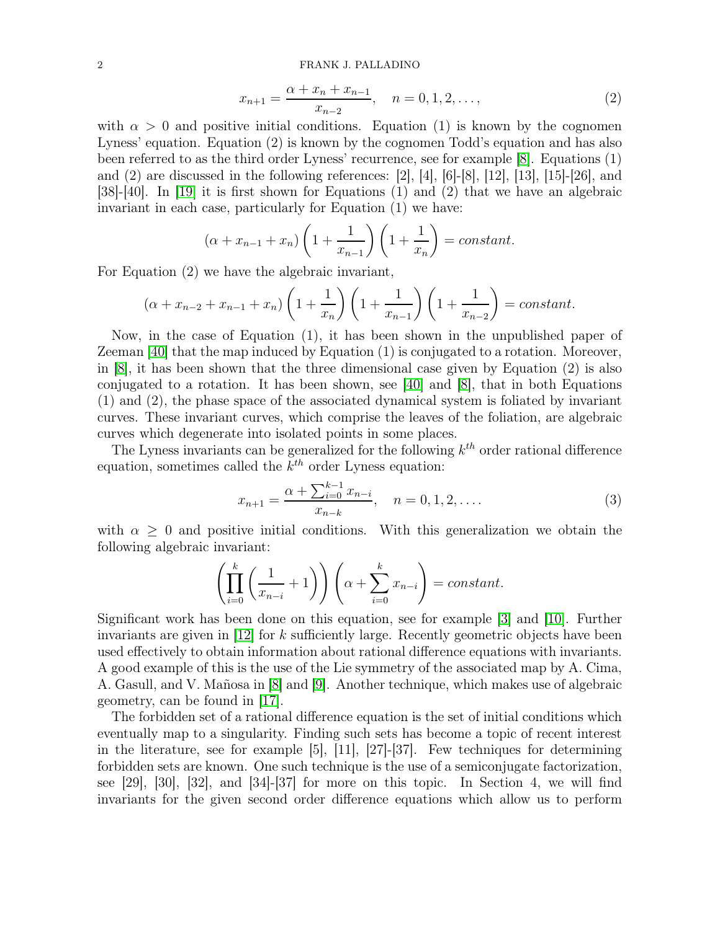### 2 FRANK J. PALLADINO

$$
x_{n+1} = \frac{\alpha + x_n + x_{n-1}}{x_{n-2}}, \quad n = 0, 1, 2, \dots,
$$
 (2)

with  $\alpha > 0$  and positive initial conditions. Equation (1) is known by the cognomen Lyness' equation. Equation (2) is known by the cognomen Todd's equation and has also been referred to as the third order Lyness' recurrence, see for example [\[8\]](#page-24-0). Equations (1) and (2) are discussed in the following references: [2], [4], [6]-[8], [12], [13], [15]-[26], and [38]-[40]. In [\[19\]](#page-24-1) it is first shown for Equations (1) and (2) that we have an algebraic invariant in each case, particularly for Equation (1) we have:

$$
(\alpha + x_{n-1} + x_n) \left(1 + \frac{1}{x_{n-1}}\right) \left(1 + \frac{1}{x_n}\right) = constant.
$$

For Equation (2) we have the algebraic invariant,

$$
(\alpha + x_{n-2} + x_{n-1} + x_n) \left(1 + \frac{1}{x_n}\right) \left(1 + \frac{1}{x_{n-1}}\right) \left(1 + \frac{1}{x_{n-2}}\right) = constant.
$$

Now, in the case of Equation (1), it has been shown in the unpublished paper of Zeeman [\[40\]](#page-25-0) that the map induced by Equation (1) is conjugated to a rotation. Moreover, in [\[8\]](#page-24-0), it has been shown that the three dimensional case given by Equation (2) is also conjugated to a rotation. It has been shown, see [\[40\]](#page-25-0) and [\[8\]](#page-24-0), that in both Equations (1) and (2), the phase space of the associated dynamical system is foliated by invariant curves. These invariant curves, which comprise the leaves of the foliation, are algebraic curves which degenerate into isolated points in some places.

The Lyness invariants can be generalized for the following  $k^{th}$  order rational difference equation, sometimes called the  $k^{th}$  order Lyness equation:

$$
x_{n+1} = \frac{\alpha + \sum_{i=0}^{k-1} x_{n-i}}{x_{n-k}}, \quad n = 0, 1, 2, .... \tag{3}
$$

with  $\alpha \geq 0$  and positive initial conditions. With this generalization we obtain the following algebraic invariant:

$$
\left(\prod_{i=0}^k \left(\frac{1}{x_{n-i}} + 1\right)\right)\left(\alpha + \sum_{i=0}^k x_{n-i}\right) = constant.
$$

Significant work has been done on this equation, see for example [\[3\]](#page-24-2) and [\[10\]](#page-24-3). Further invariants are given in  $|12|$  for k sufficiently large. Recently geometric objects have been used effectively to obtain information about rational difference equations with invariants. A good example of this is the use of the Lie symmetry of the associated map by A. Cima, A. Gasull, and V. Mañosa in [\[8\]](#page-24-0) and [\[9\]](#page-24-5). Another technique, which makes use of algebraic geometry, can be found in [\[17\]](#page-24-6).

The forbidden set of a rational difference equation is the set of initial conditions which eventually map to a singularity. Finding such sets has become a topic of recent interest in the literature, see for example [5], [11], [27]-[37]. Few techniques for determining forbidden sets are known. One such technique is the use of a semiconjugate factorization, see [29], [30], [32], and [34]-[37] for more on this topic. In Section 4, we will find invariants for the given second order difference equations which allow us to perform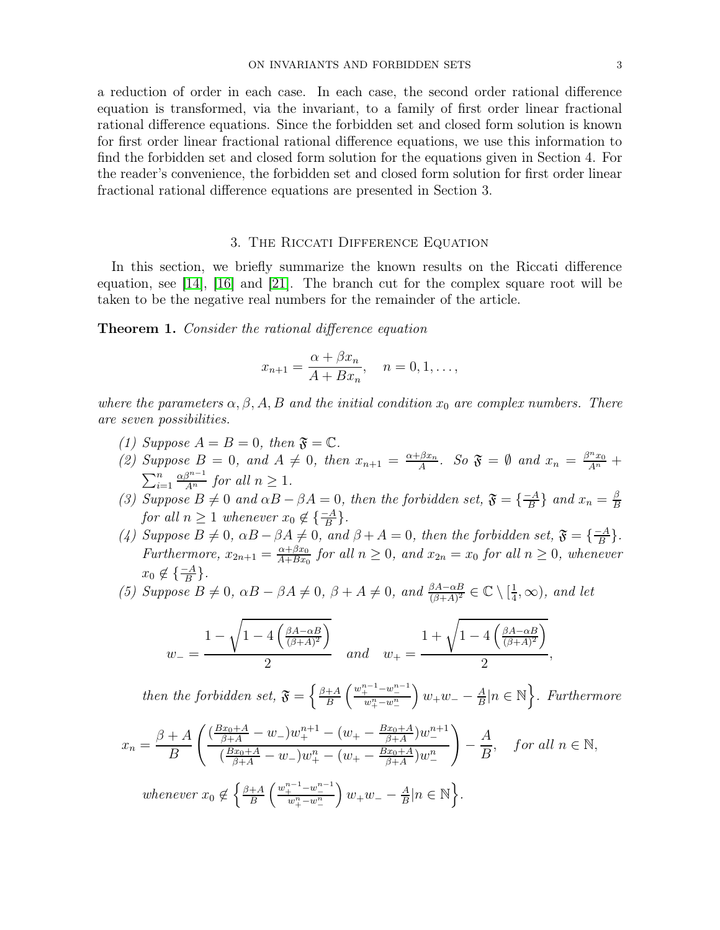a reduction of order in each case. In each case, the second order rational difference equation is transformed, via the invariant, to a family of first order linear fractional rational difference equations. Since the forbidden set and closed form solution is known for first order linear fractional rational difference equations, we use this information to find the forbidden set and closed form solution for the equations given in Section 4. For the reader's convenience, the forbidden set and closed form solution for first order linear fractional rational difference equations are presented in Section 3.

## 3. The Riccati Difference Equation

In this section, we briefly summarize the known results on the Riccati difference equation, see [\[14\]](#page-24-7), [\[16\]](#page-24-8) and [\[21\]](#page-24-9). The branch cut for the complex square root will be taken to be the negative real numbers for the remainder of the article.

**Theorem 1.** Consider the rational difference equation

$$
x_{n+1} = \frac{\alpha + \beta x_n}{A + Bx_n}, \quad n = 0, 1, \dots,
$$

where the parameters  $\alpha, \beta, A, B$  and the initial condition  $x_0$  are complex numbers. There are seven possibilities.

- (1) Suppose  $A = B = 0$ , then  $\mathfrak{F} = \mathbb{C}$ .
- (2) Suppose  $B = 0$ , and  $A \neq 0$ , then  $x_{n+1} = \frac{\alpha + \beta x_n}{A}$  $\frac{\beta x_n}{A}$ . So  $\mathfrak{F} = \emptyset$  and  $x_n = \frac{\beta^n x_0}{A^n} +$  $\sum_{i=1}^n$  $\frac{\alpha\beta^{n-1}}{A^n}$  for all  $n \geq 1$ .
- (3) Suppose  $B \neq 0$  and  $\alpha B \beta A = 0$ , then the forbidden set,  $\mathfrak{F} = \left\{ \frac{-A}{B} \right\}$  $\frac{-A}{B}$ } and  $x_n = \frac{\beta}{B}$ B for all  $n \geq 1$  whenever  $x_0 \notin {\frac{-A}{B}}$ .
- (4) Suppose  $B \neq 0$ ,  $\alpha B \beta A \neq 0$ , and  $\beta + A = 0$ , then the forbidden set,  $\mathfrak{F} = \{\frac{-A}{B}\}$  $\frac{-A}{B}$ . Furthermore,  $x_{2n+1} = \frac{\alpha + \beta x_0}{A + Bx_0}$  $\frac{\alpha+\beta x_0}{A+Bx_0}$  for all  $n \geq 0$ , and  $x_{2n} = x_0$  for all  $n \geq 0$ , whenever  $x_0 \notin {\frac{-A}{B}}.$
- (5) Suppose  $B \neq 0$ ,  $\alpha B \beta A \neq 0$ ,  $\beta + A \neq 0$ , and  $\frac{\beta A \alpha B}{(\beta + A)^2} \in \mathbb{C} \setminus \left[\frac{1}{4}\right]$  $(\frac{1}{4}, \infty)$ , and let

$$
w_{-} = \frac{1 - \sqrt{1 - 4\left(\frac{\beta A - \alpha B}{(\beta + A)^2}\right)}}{2} \quad \text{and} \quad w_{+} = \frac{1 + \sqrt{1 - 4\left(\frac{\beta A - \alpha B}{(\beta + A)^2}\right)}}{2},
$$

then the forbidden set,  $\mathfrak{F} = \left\{ \frac{\beta + A}{B} \right\}$  $\frac{+A}{B}$   $\left( \frac{w_+^{n-1}-w_-^{n-1}}{w_+^n-w_-^n} \right)$  $\int w_+ w_- - \frac{A}{B}$  $\frac{A}{B} |n \in \mathbb{N}$ . Furthermore

$$
x_n = \frac{\beta + A}{B} \left( \frac{(\frac{Bx_0 + A}{\beta + A} - w_-)w_+^{n+1} - (w_+ - \frac{Bx_0 + A}{\beta + A})w_-^{n+1}}{(\frac{Bx_0 + A}{\beta + A} - w_-)w_+^n - (w_+ - \frac{Bx_0 + A}{\beta + A})w_-^n} \right) - \frac{A}{B}, \quad \text{for all } n \in \mathbb{N},
$$
  
whenever  $x_0 \notin \left\{ \frac{\beta + A}{B} \left( \frac{w_+^{n-1} - w_-^{n-1}}{w_+^n - w_-^n} \right) w_+ w_- - \frac{A}{B} | n \in \mathbb{N} \right\}.$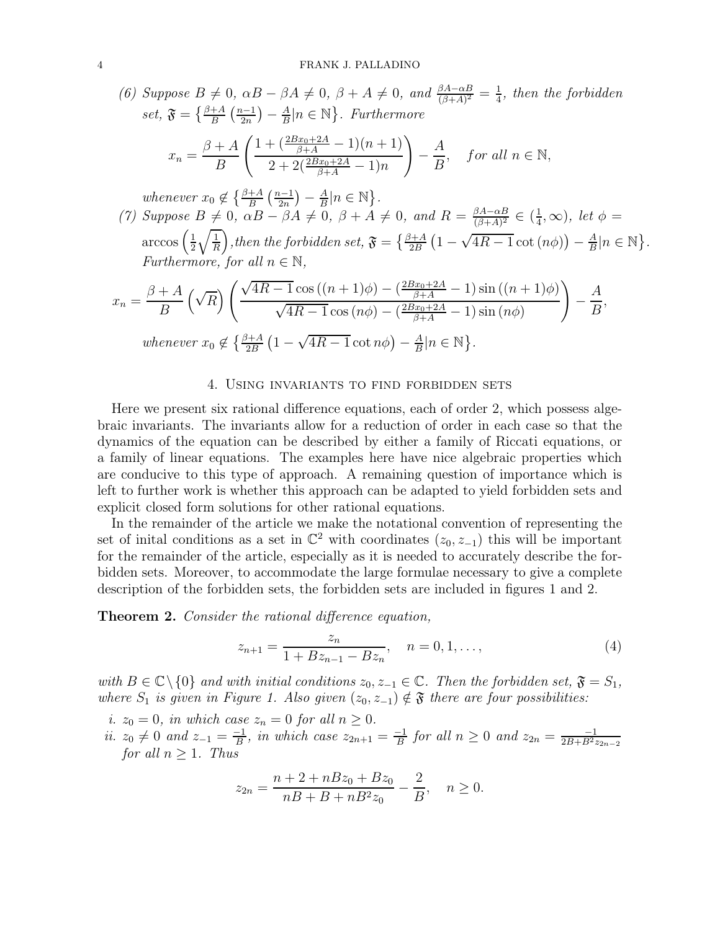(6) Suppose 
$$
B \neq 0
$$
,  $\alpha B - \beta A \neq 0$ ,  $\beta + A \neq 0$ , and  $\frac{\beta A - \alpha B}{(\beta + A)^2} = \frac{1}{4}$ , then the forbidden  
set,  $\mathfrak{F} = \left\{ \frac{\beta + A}{B} \left( \frac{n-1}{2n} \right) - \frac{A}{B} | n \in \mathbb{N} \right\}$ . Furthermore  

$$
x_n = \frac{\beta + A}{B} \left( \frac{1 + \left( \frac{2Bx_0 + 2A}{\beta + A} - 1 \right)(n+1)}{2 + 2\left( \frac{2Bx_0 + 2A}{\beta + A} - 1 \right)n} \right) - \frac{A}{B}, \text{ for all } n \in \mathbb{N},
$$

whenever  $x_0 \notin \left\{\frac{\beta+A}{B} \left(\frac{n-1}{2n}\right)\right\}$  $\frac{a-1}{2n}$ ) –  $\frac{A}{B}$  $\frac{A}{B}|n \in \mathbb{N}$ .

(7) Suppose  $B \neq 0$ ,  $\alpha B - \beta A \neq 0$ ,  $\beta + A \neq 0$ , and  $R = \frac{\beta A - \alpha B}{(\beta + A)^2}$  $\frac{\beta A-\alpha B}{(\beta+A)^2}\in(\frac{1}{4}$  $(\frac{1}{4}, \infty)$ , let  $\phi =$ arccos  $\left(\frac{1}{2}\right)$  $\frac{1}{2}\sqrt{\frac{1}{R}}\Big),$  then the forbidden set,  $\mathfrak{F}=\big\{\frac{\beta+A}{2B}\left(1-\sqrt{4R-1}\cot\left(n\phi\right)\right)-\frac{A}{B}\big\}$  $\frac{A}{B}|n \in \mathbb{N}$ . Furthermore, for all  $n \in \mathbb{N}$ ,

$$
x_n = \frac{\beta + A}{B} \left(\sqrt{R}\right) \left(\frac{\sqrt{4R - 1}\cos\left((n+1)\phi\right) - \left(\frac{2Bx_0 + 2A}{\beta + A} - 1\right)\sin\left((n+1)\phi\right)}{\sqrt{4R - 1}\cos\left(n\phi\right) - \left(\frac{2Bx_0 + 2A}{\beta + A} - 1\right)\sin\left(n\phi\right)}\right) - \frac{A}{B},
$$
  
whenever  $x_0 \notin \left\{\frac{\beta + A}{2B} \left(1 - \sqrt{4R - 1}\cot n\phi\right) - \frac{A}{B}|n \in \mathbb{N}\right\}.$ 

#### 4. Using invariants to find forbidden sets

Here we present six rational difference equations, each of order 2, which possess algebraic invariants. The invariants allow for a reduction of order in each case so that the dynamics of the equation can be described by either a family of Riccati equations, or a family of linear equations. The examples here have nice algebraic properties which are conducive to this type of approach. A remaining question of importance which is left to further work is whether this approach can be adapted to yield forbidden sets and explicit closed form solutions for other rational equations.

In the remainder of the article we make the notational convention of representing the set of initial conditions as a set in  $\mathbb{C}^2$  with coordinates  $(z_0, z_{-1})$  this will be important for the remainder of the article, especially as it is needed to accurately describe the forbidden sets. Moreover, to accommodate the large formulae necessary to give a complete description of the forbidden sets, the forbidden sets are included in figures 1 and 2.

**Theorem 2.** Consider the rational difference equation,

$$
z_{n+1} = \frac{z_n}{1 + Bz_{n-1} - Bz_n}, \quad n = 0, 1, \dots,
$$
\n(4)

with  $B \in \mathbb{C} \setminus \{0\}$  and with initial conditions  $z_0, z_{-1} \in \mathbb{C}$ . Then the forbidden set,  $\mathfrak{F} = S_1$ , where  $S_1$  is given in Figure 1. Also given  $(z_0, z_{-1}) \notin \mathfrak{F}$  there are four possibilities:

- i.  $z_0 = 0$ , in which case  $z_n = 0$  for all  $n \geq 0$ .
- *ii.*  $z_0 \neq 0$  and  $z_{-1} = \frac{-1}{B}$  $\frac{-1}{B}$ , in which case  $z_{2n+1} = \frac{-1}{B}$  $\frac{-1}{B}$  for all  $n \geq 0$  and  $z_{2n} = \frac{-1}{2B+B^2z_{2n-2}}$ for all  $n \geq 1$ . Thus

$$
z_{2n} = \frac{n+2+nBz_0 + Bz_0}{nB+B+nB^2z_0} - \frac{2}{B}, \quad n \ge 0.
$$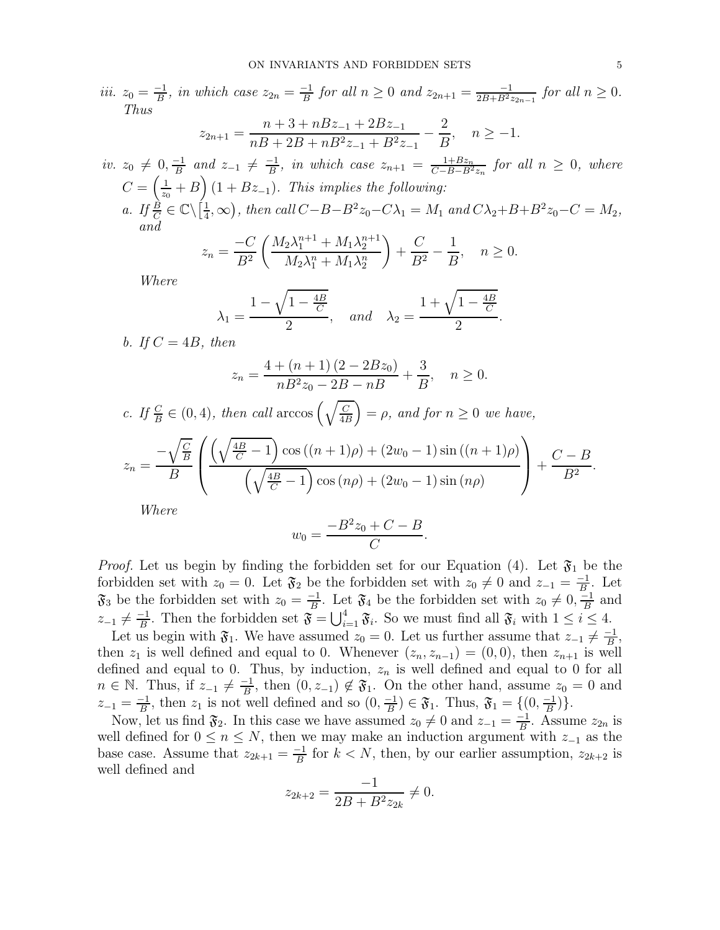iii.  $z_0 = \frac{-1}{B}$  $\frac{-1}{B}$ , in which case  $z_{2n} = \frac{-1}{B}$  $\frac{-1}{B}$  for all  $n \geq 0$  and  $z_{2n+1} = \frac{-1}{2B+B^2z_{2n-1}}$  for all  $n \geq 0$ . Thus  $z_{2n+1} =$  $n+3+nBz_{-1}+2Bz_{-1}$  $nB + 2B + nB^2z_{-1} + B^2z_{-1}$ 2  $\frac{2}{B}$ ,  $n \ge -1$ . *iv.*  $z_0 \neq 0, \frac{-1}{B}$  $\frac{-1}{B}$  and  $z_{-1} \neq \frac{-1}{B}$  $\frac{-1}{B}$ , in which case  $z_{n+1} = \frac{1+Bz_n}{C-B-B^2z_n}$  for all  $n \geq 0$ , where  $C=\left(\frac{1}{z_c}\right)$  $\frac{1}{z_0}+B(1+Bz_{-1})$ . This implies the following: a. If  $\frac{\vec{B}}{C} \in \mathbb{C} \setminus \left[\frac{1}{4}\right]$  $(\frac{1}{4}, \infty)$ , then call  $C - B - B^2 z_0 - C \lambda_1 = M_1$  and  $C \lambda_2 + B + B^2 z_0 - C = M_2$ , and  $z_n = \frac{-C}{D^2}$  $B<sup>2</sup>$  $\int M_2 \lambda_1^{n+1} + M_1 \lambda_2^{n+1}$  $M_2 \lambda_1^n + M_1 \lambda_2^n$  $\setminus$  $+$  $\mathcal{C}_{0}^{(n)}$  $\overline{B^2}$  – 1  $\frac{1}{B}$ ,  $n \geq 0$ .

Where

$$
\lambda_1 = \frac{1 - \sqrt{1 - \frac{4B}{C}}}{2}
$$
, and  $\lambda_2 = \frac{1 + \sqrt{1 - \frac{4B}{C}}}{2}$ .

b. If  $C = 4B$ , then

$$
z_n = \frac{4 + (n+1)(2 - 2Bz_0)}{nB^2z_0 - 2B - nB} + \frac{3}{B}, \quad n \ge 0.
$$

c. If  $\frac{C}{B} \in (0, 4)$ , then call arccos  $\left(\sqrt{\frac{C}{4R}}\right)$  $\left(\frac{\overline{C}}{4B}\right) = \rho$ , and for  $n \geq 0$  we have,

$$
z_n = \frac{-\sqrt{\frac{C}{B}}}{B} \left( \frac{\left(\sqrt{\frac{4B}{C} - 1}\right) \cos \left((n+1)\rho\right) + (2w_0 - 1) \sin \left((n+1)\rho\right)}{\left(\sqrt{\frac{4B}{C} - 1}\right) \cos \left((n+1)\rho\right) + (2w_0 - 1) \sin \left((n\rho\right))} \right) + \frac{C - B}{B^2}.
$$

Where

$$
w_0 = \frac{-B^2 z_0 + C - B}{C}.
$$

*Proof.* Let us begin by finding the forbidden set for our Equation (4). Let  $\mathfrak{F}_1$  be the forbidden set with  $z_0 = 0$ . Let  $\mathfrak{F}_2$  be the forbidden set with  $z_0 \neq 0$  and  $z_{-1} = \frac{-1}{B}$  $\frac{-1}{B}$ . Let  $\mathfrak{F}_3$  be the forbidden set with  $z_0 = \frac{-1}{B}$  $\frac{-1}{B}$ . Let  $\mathfrak{F}_4$  be the forbidden set with  $z_0 \neq 0, \frac{-1}{B}$  $\frac{-1}{B}$  and  $z_{-1} \neq \frac{-1}{B}$  $\frac{1}{B}$ . Then the forbidden set  $\mathfrak{F} = \bigcup_{i=1}^{4} \mathfrak{F}_i$ . So we must find all  $\mathfrak{F}_i$  with  $1 \leq i \leq 4$ .

Let us begin with  $\mathfrak{F}_1$ . We have assumed  $z_0 = 0$ . Let us further assume that  $z_{-1} \neq \frac{-1}{B}$  $\frac{-1}{B}$ then  $z_1$  is well defined and equal to 0. Whenever  $(z_n, z_{n-1}) = (0, 0)$ , then  $z_{n+1}$  is well defined and equal to 0. Thus, by induction,  $z_n$  is well defined and equal to 0 for all  $n \in \mathbb{N}$ . Thus, if  $z_{-1} \neq \frac{-1}{B}$  $\frac{-1}{B}$ , then  $(0, z_{-1}) \notin \mathfrak{F}_1$ . On the other hand, assume  $z_0 = 0$  and  $z_{-1} = \frac{-1}{B}$  $\frac{-1}{B}$ , then  $z_1$  is not well defined and so  $(0, \frac{-1}{B})$  $\left(\frac{-1}{B}\right) \in \mathfrak{F}_1$ . Thus,  $\mathfrak{F}_1 = \{(0, \frac{-1}{B})\}$  $\frac{-1}{B}$ ) }.

Now, let us find  $\mathfrak{F}_2$ . In this case we have assumed  $z_0 \neq 0$  and  $z_{-1} = \frac{-1}{B}$  $\frac{-1}{B}$ . Assume  $z_{2n}$  is well defined for  $0 \le n \le N$ , then we may make an induction argument with  $z_{-1}$  as the base case. Assume that  $z_{2k+1} = \frac{-1}{B}$  $\frac{-1}{B}$  for  $k < N$ , then, by our earlier assumption,  $z_{2k+2}$  is well defined and

$$
z_{2k+2} = \frac{-1}{2B + B^2 z_{2k}} \neq 0.
$$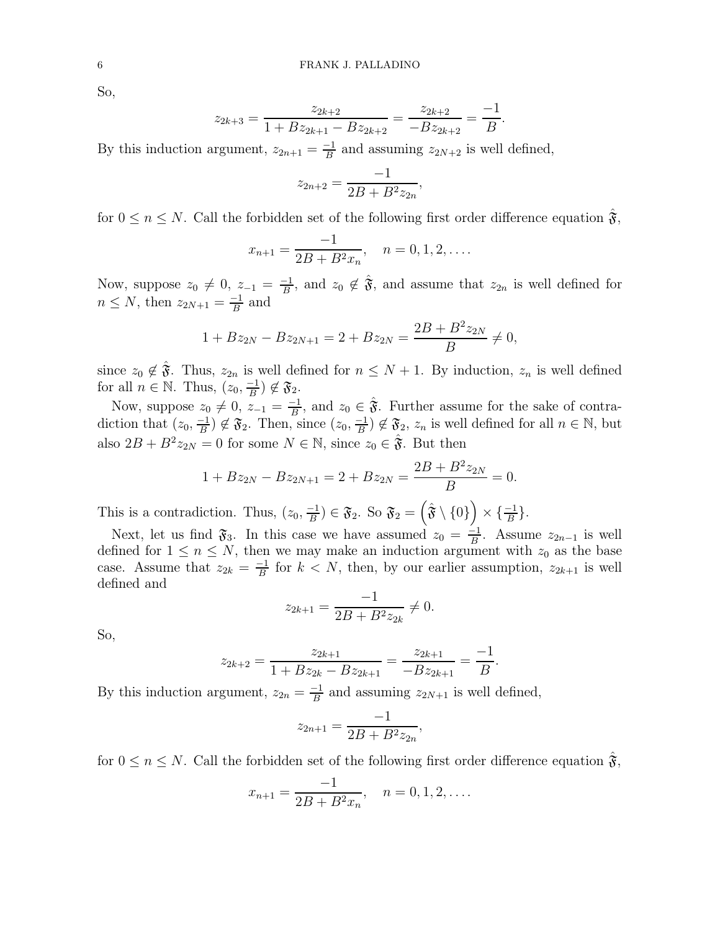So,

$$
z_{2k+3} = \frac{z_{2k+2}}{1 + Bz_{2k+1} - Bz_{2k+2}} = \frac{z_{2k+2}}{-Bz_{2k+2}} = \frac{-1}{B}.
$$

By this induction argument,  $z_{2n+1} = \frac{-1}{B}$  $\frac{-1}{B}$  and assuming  $z_{2N+2}$  is well defined,

$$
z_{2n+2} = \frac{-1}{2B + B^2 z_{2n}},
$$

for  $0 \le n \le N$ . Call the forbidden set of the following first order difference equation  $\mathfrak{F}$ ,

$$
x_{n+1} = \frac{-1}{2B + B^2 x_n}, \quad n = 0, 1, 2, \dots
$$

Now, suppose  $z_0 \neq 0$ ,  $z_{-1} = \frac{-1}{B}$  $\frac{-1}{B}$ , and  $z_0 \notin \hat{\mathfrak{F}}$ , and assume that  $z_{2n}$  is well defined for  $n \leq N$ , then  $z_{2N+1} = \frac{-1}{B}$  $\frac{-1}{B}$  and

$$
1 + Bz_{2N} - Bz_{2N+1} = 2 + Bz_{2N} = \frac{2B + B^2 z_{2N}}{B} \neq 0,
$$

since  $z_0 \notin \hat{\mathfrak{F}}$ . Thus,  $z_{2n}$  is well defined for  $n \leq N+1$ . By induction,  $z_n$  is well defined for all  $n \in \mathbb{N}$ . Thus,  $(z_0, \frac{-1}{B})$  $\frac{-1}{B}$ )  $\notin \mathfrak{F}_2$ .

Now, suppose  $z_0 \neq 0, z_{-1} = \frac{-1}{B}$  $\frac{-1}{B}$ , and  $z_0 \in \hat{\mathfrak{F}}$ . Further assume for the sake of contradiction that  $(z_0, \frac{-1}{B})$  $\frac{-1}{B}$ )  $\notin \mathfrak{F}_2$ . Then, since  $(z_0, \frac{-1}{B})$  $\left(\frac{-1}{B}\right) \notin \mathfrak{F}_2$ ,  $z_n$  is well defined for all  $n \in \mathbb{N}$ , but also  $2B + B^2 z_{2N} = 0$  for some  $N \in \mathbb{N}$ , since  $z_0 \in \hat{\mathfrak{F}}$ . But then

$$
1 + Bz_{2N} - Bz_{2N+1} = 2 + Bz_{2N} = \frac{2B + B^2 z_{2N}}{B} = 0.
$$

This is a contradiction. Thus,  $(z_0, \frac{-1}{B})$  $\left(\frac{-1}{B}\right) \in \mathfrak{F}_2$ . So  $\mathfrak{F}_2 = \left(\hat{\mathfrak{F}} \setminus \{0\}\right) \times \{\frac{-1}{B}\}.$ 

Next, let us find  $\mathfrak{F}_3$ . In this case we have assumed  $z_0 = \frac{-1}{B}$  $\frac{-1}{B}$ . Assume  $z_{2n-1}$  is well defined for  $1 \leq n \leq N$ , then we may make an induction argument with  $z_0$  as the base case. Assume that  $z_{2k} = \frac{-1}{B}$  $\frac{-1}{B}$  for  $k < N$ , then, by our earlier assumption,  $z_{2k+1}$  is well defined and

$$
z_{2k+1} = \frac{-1}{2B + B^2 z_{2k}} \neq 0.
$$

So,

$$
z_{2k+2} = \frac{z_{2k+1}}{1 + Bz_{2k} - Bz_{2k+1}} = \frac{z_{2k+1}}{-Bz_{2k+1}} = \frac{-1}{B}.
$$

By this induction argument,  $z_{2n} = \frac{-1}{B}$  $\frac{-1}{B}$  and assuming  $z_{2N+1}$  is well defined,

$$
z_{2n+1} = \frac{-1}{2B + B^2 z_{2n}},
$$

for  $0 \le n \le N$ . Call the forbidden set of the following first order difference equation  $\mathfrak{F}$ ,

$$
x_{n+1} = \frac{-1}{2B + B^2 x_n}, \quad n = 0, 1, 2, \dots
$$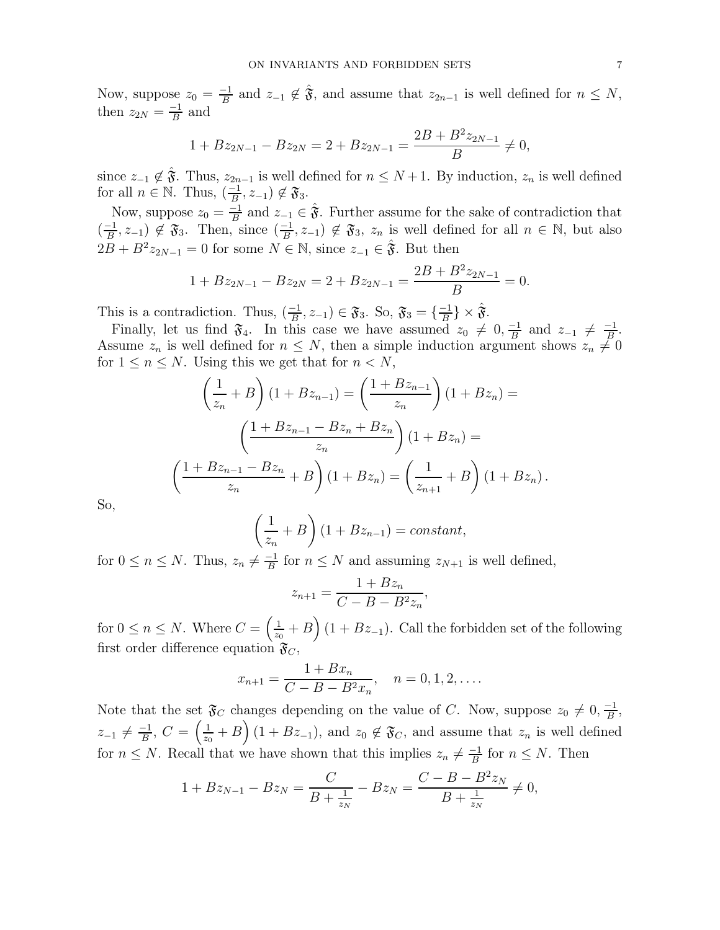Now, suppose  $z_0 = \frac{-1}{B}$  $\frac{-1}{B}$  and  $z_{-1} \notin \hat{\mathfrak{F}}$ , and assume that  $z_{2n-1}$  is well defined for  $n \leq N$ , then  $z_{2N} = \frac{-1}{B}$  $\frac{-1}{B}$  and

$$
1 + Bz_{2N-1} - Bz_{2N} = 2 + Bz_{2N-1} = \frac{2B + B^2 z_{2N-1}}{B} \neq 0,
$$

since  $z_{-1} \notin \hat{\mathfrak{F}}$ . Thus,  $z_{2n-1}$  is well defined for  $n \leq N+1$ . By induction,  $z_n$  is well defined for all  $n \in \mathbb{N}$ . Thus,  $\left(\frac{-1}{B}\right)$  $\frac{-1}{B}, z_{-1}) \notin \mathfrak{F}_3.$ 

Now, suppose  $z_0 = \frac{-1}{B}$  $\frac{-1}{B}$  and  $z_{-1} \in \hat{\mathfrak{F}}$ . Further assume for the sake of contradiction that  $\left(\frac{-1}{R}\right)$  $\frac{-1}{B}$ ,  $z_{-1}$ )  $\notin \mathfrak{F}_3$ . Then, since  $\left(\frac{-1}{B}\right)$  $\left(\frac{-1}{B}, z_{-1}\right) \notin \mathfrak{F}_3$ ,  $z_n$  is well defined for all  $n \in \mathbb{N}$ , but also  $2B + B^2 z_{2N-1} = 0$  for some  $N \in \mathbb{N}$ , since  $z_{-1} \in \hat{\mathfrak{F}}$ . But then

$$
1 + Bz_{2N-1} - Bz_{2N} = 2 + Bz_{2N-1} = \frac{2B + B^2 z_{2N-1}}{B} = 0.
$$

This is a contradiction. Thus,  $\left(\frac{-1}{R}\right)$  $\frac{-1}{B}, z_{-1}) \in \mathfrak{F}_3$ . So,  $\mathfrak{F}_3 = \{\frac{-1}{B}, \frac{1}{B}, \frac{1}{B}, \frac{1}{B}\}$  $\frac{-1}{B}\}\times \hat{\mathfrak{F}}.$ 

Finally, let us find  $\mathfrak{F}_4$ . In this case we have assumed  $z_0 \neq 0, \frac{-1}{B}$  $\frac{-1}{B}$  and  $z_{-1} \neq \frac{-1}{B}$  $\frac{-1}{B}$ . Assume  $z_n$  is well defined for  $n \leq N$ , then a simple induction argument shows  $z_n \neq 0$ for  $1 \leq n \leq N$ . Using this we get that for  $n < N$ ,

$$
\left(\frac{1}{z_n} + B\right)(1 + Bz_{n-1}) = \left(\frac{1 + Bz_{n-1}}{z_n}\right)(1 + Bz_n) =
$$
\n
$$
\left(\frac{1 + Bz_{n-1} - Bz_n + Bz_n}{z_n}\right)(1 + Bz_n) =
$$
\n
$$
\left(\frac{1 + Bz_{n-1} - Bz_n}{z_n} + B\right)(1 + Bz_n) = \left(\frac{1}{z_{n+1}} + B\right)(1 + Bz_n).
$$

So,

$$
\left(\frac{1}{z_n} + B\right)(1 + Bz_{n-1}) = constant,
$$

for  $0 \le n \le N$ . Thus,  $z_n \neq \frac{-1}{B}$  $\frac{-1}{B}$  for  $n \leq N$  and assuming  $z_{N+1}$  is well defined,

$$
z_{n+1} = \frac{1 + Bz_n}{C - B - B^2 z_n},
$$

for  $0 \leq n \leq N$ . Where  $C = \left(\frac{1}{z_0}\right)$  $\frac{1}{z_0} + B$  (1 +  $Bz_{-1}$ ). Call the forbidden set of the following first order difference equation  $\mathfrak{F}_C$ ,

$$
x_{n+1} = \frac{1 + Bx_n}{C - B - B^2 x_n}, \quad n = 0, 1, 2, \dots.
$$

Note that the set  $\mathfrak{F}_C$  changes depending on the value of C. Now, suppose  $z_0 \neq 0, \frac{-1}{B}$  $\frac{-1}{B}$  $z_{-1} \neq \frac{-1}{B}$  $\frac{-1}{B},\ C=\left(\frac{1}{z_{0}}\right)$  $\left(\frac{1}{z_0}+B\right)(1+Bz_{-1}),$  and  $z_0 \notin \mathfrak{F}_C$ , and assume that  $z_n$  is well defined for  $n \leq N$ . Recall that we have shown that this implies  $z_n \neq \frac{-1}{B}$  $\frac{-1}{B}$  for  $n \leq N$ . Then

$$
1 + Bz_{N-1} - Bz_N = \frac{C}{B + \frac{1}{z_N}} - Bz_N = \frac{C - B - B^2 z_N}{B + \frac{1}{z_N}} \neq 0,
$$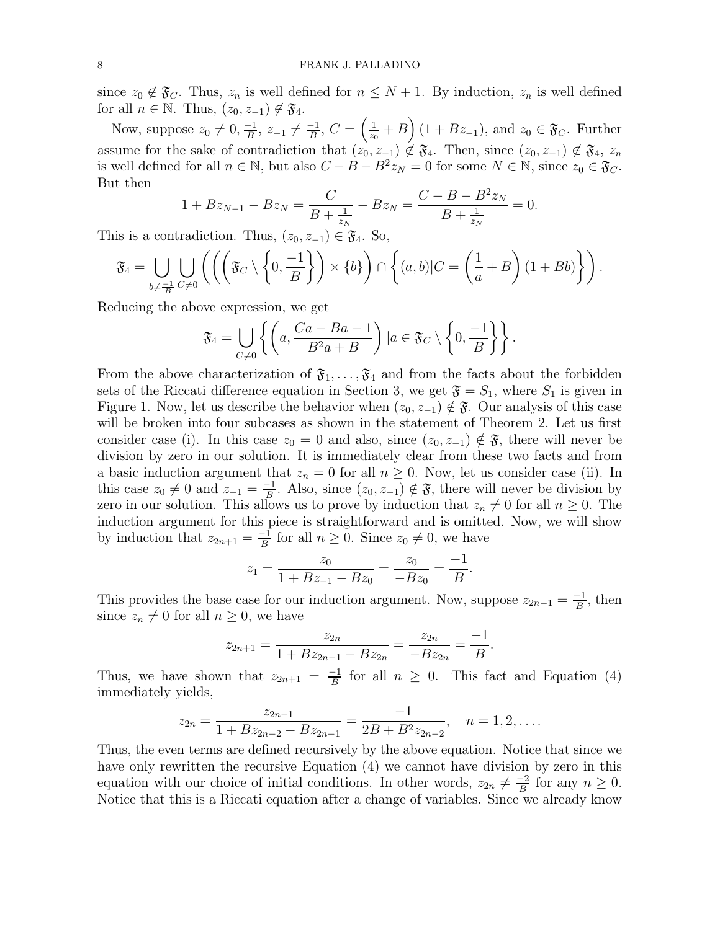since  $z_0 \notin \mathfrak{F}_C$ . Thus,  $z_n$  is well defined for  $n \leq N+1$ . By induction,  $z_n$  is well defined for all  $n \in \mathbb{N}$ . Thus,  $(z_0, z_{-1}) \notin \mathfrak{F}_4$ .

Now, suppose  $z_0 \neq 0, \frac{-1}{B}$  $\frac{-1}{B}$ ,  $z_{-1} \neq \frac{-1}{B}$  $\frac{-1}{B},\,C=\left(\frac{1}{z_{0}}\right)$  $\frac{1}{z_0} + B$  (1 +  $Bz_{-1}$ ), and  $z_0 \in \mathfrak{F}_C$ . Further assume for the sake of contradiction that  $(z_0, z_{-1}) \notin \mathfrak{F}_4$ . Then, since  $(z_0, z_{-1}) \notin \mathfrak{F}_4$ ,  $z_n$ is well defined for all  $n \in \mathbb{N}$ , but also  $C - B - B^2 z_N = 0$  for some  $N \in \mathbb{N}$ , since  $z_0 \in \mathfrak{F}_C$ . But then

$$
1 + Bz_{N-1} - Bz_N = \frac{C}{B + \frac{1}{z_N}} - Bz_N = \frac{C - B - B^2 z_N}{B + \frac{1}{z_N}} = 0.
$$

This is a contradiction. Thus,  $(z_0, z_{-1}) \in \mathfrak{F}_4$ . So,

$$
\mathfrak{F}_4 = \bigcup_{b \neq \frac{-1}{B}} \bigcup_{C \neq 0} \left( \left( \left( \mathfrak{F}_C \setminus \left\{0, \frac{-1}{B}\right\} \right) \times \{b\} \right) \cap \left\{ (a, b) | C = \left( \frac{1}{a} + B \right) (1 + Bb) \right\} \right).
$$

Reducing the above expression, we get

$$
\mathfrak{F}_4 = \bigcup_{C \neq 0} \left\{ \left( a, \frac{Ca - Ba - 1}{B^2 a + B} \right) \mid a \in \mathfrak{F}_C \setminus \left\{ 0, \frac{-1}{B} \right\} \right\}.
$$

From the above characterization of  $\mathfrak{F}_1, \ldots, \mathfrak{F}_4$  and from the facts about the forbidden sets of the Riccati difference equation in Section 3, we get  $\mathfrak{F} = S_1$ , where  $S_1$  is given in Figure 1. Now, let us describe the behavior when  $(z_0, z_{-1}) \notin \mathfrak{F}$ . Our analysis of this case will be broken into four subcases as shown in the statement of Theorem 2. Let us first consider case (i). In this case  $z_0 = 0$  and also, since  $(z_0, z_{-1}) \notin \mathfrak{F}$ , there will never be division by zero in our solution. It is immediately clear from these two facts and from a basic induction argument that  $z_n = 0$  for all  $n \geq 0$ . Now, let us consider case (ii). In this case  $z_0 \neq 0$  and  $z_{-1} = \frac{-1}{B}$  $\frac{-1}{B}$ . Also, since  $(z_0, z_{-1}) \notin \mathfrak{F}$ , there will never be division by zero in our solution. This allows us to prove by induction that  $z_n \neq 0$  for all  $n \geq 0$ . The induction argument for this piece is straightforward and is omitted. Now, we will show by induction that  $z_{2n+1} = \frac{-1}{B}$  $\frac{-1}{B}$  for all  $n \geq 0$ . Since  $z_0 \neq 0$ , we have

$$
z_1 = \frac{z_0}{1 + Bz_{-1} - Bz_0} = \frac{z_0}{-Bz_0} = \frac{-1}{B}.
$$

This provides the base case for our induction argument. Now, suppose  $z_{2n-1} = \frac{-1}{B}$  $\frac{-1}{B}$ , then since  $z_n \neq 0$  for all  $n \geq 0$ , we have

$$
z_{2n+1} = \frac{z_{2n}}{1 + Bz_{2n-1} - Bz_{2n}} = \frac{z_{2n}}{-Bz_{2n}} = \frac{-1}{B}.
$$

Thus, we have shown that  $z_{2n+1} = \frac{-1}{B}$  $\frac{-1}{B}$  for all  $n \geq 0$ . This fact and Equation (4) immediately yields,

$$
z_{2n} = \frac{z_{2n-1}}{1 + Bz_{2n-2} - Bz_{2n-1}} = \frac{-1}{2B + B^2 z_{2n-2}}, \quad n = 1, 2, ....
$$

Thus, the even terms are defined recursively by the above equation. Notice that since we have only rewritten the recursive Equation (4) we cannot have division by zero in this equation with our choice of initial conditions. In other words,  $z_{2n} \neq \frac{-2}{B}$  $\frac{-2}{B}$  for any  $n \geq 0$ . Notice that this is a Riccati equation after a change of variables. Since we already know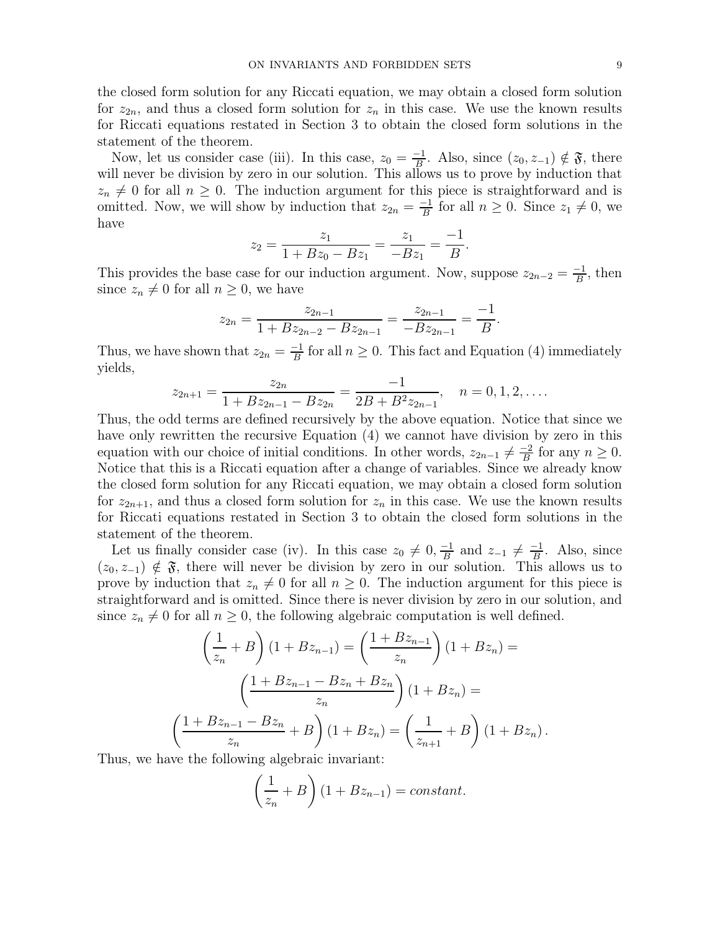the closed form solution for any Riccati equation, we may obtain a closed form solution for  $z_{2n}$ , and thus a closed form solution for  $z_n$  in this case. We use the known results for Riccati equations restated in Section 3 to obtain the closed form solutions in the statement of the theorem.

Now, let us consider case (iii). In this case,  $z_0 = \frac{-1}{B}$  $\frac{-1}{B}$ . Also, since  $(z_0, z_{-1}) \notin \mathfrak{F}$ , there will never be division by zero in our solution. This allows us to prove by induction that  $z_n \neq 0$  for all  $n \geq 0$ . The induction argument for this piece is straightforward and is omitted. Now, we will show by induction that  $z_{2n} = \frac{-1}{B}$  $\frac{-1}{B}$  for all  $n \geq 0$ . Since  $z_1 \neq 0$ , we have

$$
z_2 = \frac{z_1}{1 + Bz_0 - Bz_1} = \frac{z_1}{-Bz_1} = \frac{-1}{B}.
$$

This provides the base case for our induction argument. Now, suppose  $z_{2n-2} = \frac{-1}{B}$  $\frac{-1}{B}$ , then since  $z_n \neq 0$  for all  $n \geq 0$ , we have

$$
z_{2n} = \frac{z_{2n-1}}{1 + Bz_{2n-2} - Bz_{2n-1}} = \frac{z_{2n-1}}{-Bz_{2n-1}} = \frac{-1}{B}.
$$

Thus, we have shown that  $z_{2n} = \frac{-1}{B}$  $\frac{-1}{B}$  for all  $n \geq 0$ . This fact and Equation (4) immediately yields,

$$
z_{2n+1} = \frac{z_{2n}}{1 + Bz_{2n-1} - Bz_{2n}} = \frac{-1}{2B + B^2 z_{2n-1}}, \quad n = 0, 1, 2, ....
$$

Thus, the odd terms are defined recursively by the above equation. Notice that since we have only rewritten the recursive Equation (4) we cannot have division by zero in this equation with our choice of initial conditions. In other words,  $z_{2n-1} \neq \frac{-2}{B}$  $\frac{-2}{B}$  for any  $n \geq 0$ . Notice that this is a Riccati equation after a change of variables. Since we already know the closed form solution for any Riccati equation, we may obtain a closed form solution for  $z_{2n+1}$ , and thus a closed form solution for  $z_n$  in this case. We use the known results for Riccati equations restated in Section 3 to obtain the closed form solutions in the statement of the theorem.

Let us finally consider case (iv). In this case  $z_0 \neq 0, \frac{-1}{B}$  $\frac{-1}{B}$  and  $z_{-1} \neq \frac{-1}{B}$  $\frac{-1}{B}$ . Also, since  $(z_0, z_{-1}) \notin \mathfrak{F}$ , there will never be division by zero in our solution. This allows us to prove by induction that  $z_n \neq 0$  for all  $n \geq 0$ . The induction argument for this piece is straightforward and is omitted. Since there is never division by zero in our solution, and since  $z_n \neq 0$  for all  $n \geq 0$ , the following algebraic computation is well defined.

$$
\left(\frac{1}{z_n} + B\right)(1 + Bz_{n-1}) = \left(\frac{1 + Bz_{n-1}}{z_n}\right)(1 + Bz_n) =
$$
\n
$$
\left(\frac{1 + Bz_{n-1} - Bz_n + Bz_n}{z_n}\right)(1 + Bz_n) =
$$
\n
$$
\frac{1 + Bz_{n-1} - Bz_n}{z_n} + B\right)(1 + Bz_n) = \left(\frac{1}{z_{n+1}} + B\right)(1 + Bz_n).
$$
\nthe following algebraic invariant.

Thus, we have the following algebraic invariant:

 $\sqrt{ }$ 

$$
\left(\frac{1}{z_n} + B\right)(1 + Bz_{n-1}) = constant.
$$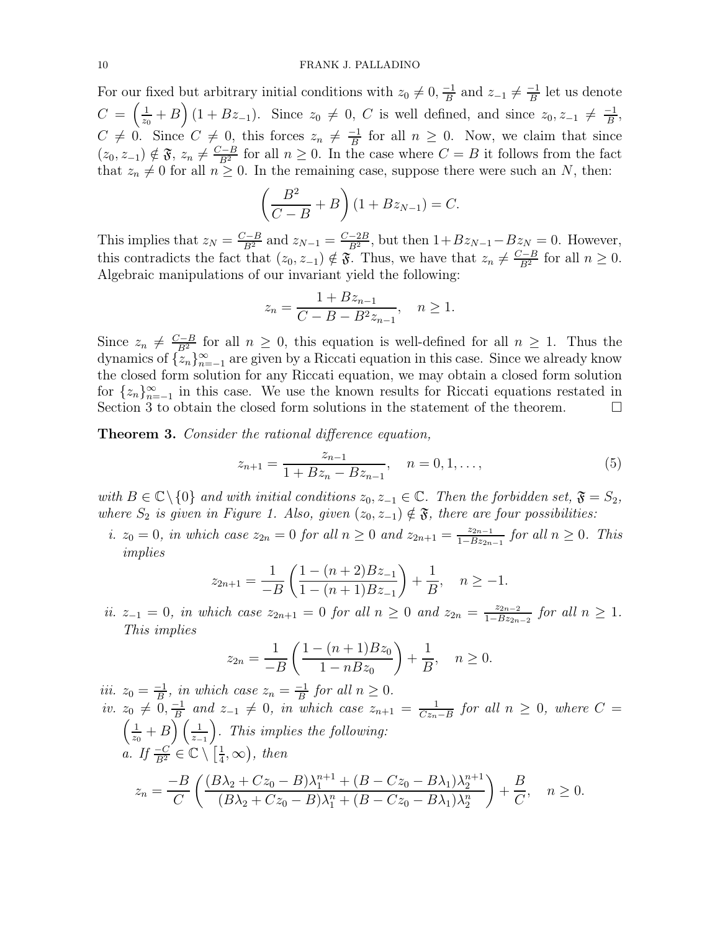For our fixed but arbitrary initial conditions with  $z_0 \neq 0, \frac{-1}{B}$  $\frac{-1}{B}$  and  $z_{-1} \neq \frac{-1}{B}$  $\frac{-1}{B}$  let us denote  $C = \left(\frac{1}{\alpha}\right)$  $\frac{1}{z_0}$  + B  $(1 + Bz_{-1})$ . Since  $z_0 \neq 0$ , C is well defined, and since  $z_0, z_{-1} \neq \frac{-1}{B}$  $\frac{-1}{B}$  $C \neq 0$ . Since  $C \neq 0$ , this forces  $z_n \neq \frac{-1}{B}$  $\frac{-1}{B}$  for all  $n \geq 0$ . Now, we claim that since  $(z_0, z_{-1}) \notin \mathfrak{F}, z_n \neq \frac{C-B}{B^2}$  for all  $n \geq 0$ . In the case where  $C = B$  it follows from the fact that  $z_n \neq 0$  for all  $n \geq 0$ . In the remaining case, suppose there were such an N, then:

$$
\left(\frac{B^2}{C-B}+B\right)(1+Bz_{N-1})=C.
$$

This implies that  $z_N = \frac{C-B}{B^2}$  and  $z_{N-1} = \frac{C-2B}{B^2}$ , but then  $1+Bz_{N-1}-Bz_N = 0$ . However, this contradicts the fact that  $(z_0, z_{-1}) \notin \mathfrak{F}$ . Thus, we have that  $z_n \neq \frac{C-B}{B^2}$  for all  $n \geq 0$ . Algebraic manipulations of our invariant yield the following:

$$
z_n = \frac{1 + Bz_{n-1}}{C - B - B^2 z_{n-1}}, \quad n \ge 1.
$$

Since  $z_n \neq \frac{C-B}{B^2}$  for all  $n \geq 0$ , this equation is well-defined for all  $n \geq 1$ . Thus the dynamics of  $\{z_n\}_{n=-1}^{\infty}$  are given by a Riccati equation in this case. Since we already know the closed form solution for any Riccati equation, we may obtain a closed form solution for  $\{z_n\}_{n=-1}^{\infty}$  in this case. We use the known results for Riccati equations restated in Section 3 to obtain the closed form solutions in the statement of the theorem.  $\Box$ 

**Theorem 3.** Consider the rational difference equation,

$$
z_{n+1} = \frac{z_{n-1}}{1 + Bz_n - Bz_{n-1}}, \quad n = 0, 1, ..., \tag{5}
$$

with  $B \in \mathbb{C} \setminus \{0\}$  and with initial conditions  $z_0, z_{-1} \in \mathbb{C}$ . Then the forbidden set,  $\mathfrak{F} = S_2$ , where  $S_2$  is given in Figure 1. Also, given  $(z_0, z_{-1}) \notin \mathfrak{F}$ , there are four possibilities:

i.  $z_0 = 0$ , in which case  $z_{2n} = 0$  for all  $n \ge 0$  and  $z_{2n+1} = \frac{z_{2n-1}}{1 - B z_{2n}}$  $\frac{z_{2n-1}}{1-Bz_{2n-1}}$  for all  $n \geq 0$ . This implies

$$
z_{2n+1} = \frac{1}{-B} \left( \frac{1 - (n+2)Bz_{-1}}{1 - (n+1)Bz_{-1}} \right) + \frac{1}{B}, \quad n \ge -1.
$$

ii.  $z_{-1} = 0$ , in which case  $z_{2n+1} = 0$  for all  $n \ge 0$  and  $z_{2n} = \frac{z_{2n-2}}{1 - B z_{2n}}$  $\frac{z_{2n-2}}{1-Bz_{2n-2}}$  for all  $n \geq 1$ . This implies

$$
z_{2n} = \frac{1}{-B} \left( \frac{1 - (n+1)Bz_0}{1 - nBz_0} \right) + \frac{1}{B}, \quad n \ge 0.
$$

iii.  $z_0 = \frac{-1}{B}$  $\frac{-1}{B}$ , in which case  $z_n = \frac{-1}{B}$  $\frac{-1}{B}$  for all  $n \geq 0$ . *iv.*  $z_0 \neq 0, \frac{-1}{B}$  $\frac{-1}{B}$  and  $z_{-1} \neq 0$ , in which case  $z_{n+1} = \frac{1}{Cz_n}$  $z_0 \neq 0, \frac{-1}{B}$  and  $z_{-1} \neq 0$ , in which case  $z_{n+1} = \frac{1}{Cz_n-B}$  for all  $n \geq 0$ , where  $C =$ <br> $\left(\frac{1}{B} + B\right)\left(\frac{1}{B}\right)$  This implies the following: 1  $\frac{1}{z_0}+B\Big(\frac{1}{z-1}\Big)$ . This implies the following: a. If  $\frac{-C}{B^2} \in \mathbb{C} \setminus \left[\frac{1}{4}\right]$  $(\frac{1}{4}, \infty)$ , then  $z_n = \frac{-B}{\alpha}$  $\mathcal{C}_{0}^{(n)}$  $\int \frac{(B\lambda_2+Cz_0-B)\lambda_1^{n+1}+(B-Cz_0-B\lambda_1)\lambda_2^{n+1}}{B-z_0-B\lambda_1}$  $(B\lambda_2 + Cz_0 - B)\lambda_1^n + (B - Cz_0 - B\lambda_1)\lambda_2^n$  $\setminus$  $+$ B  $\frac{E}{C}$ ,  $n \geq 0$ .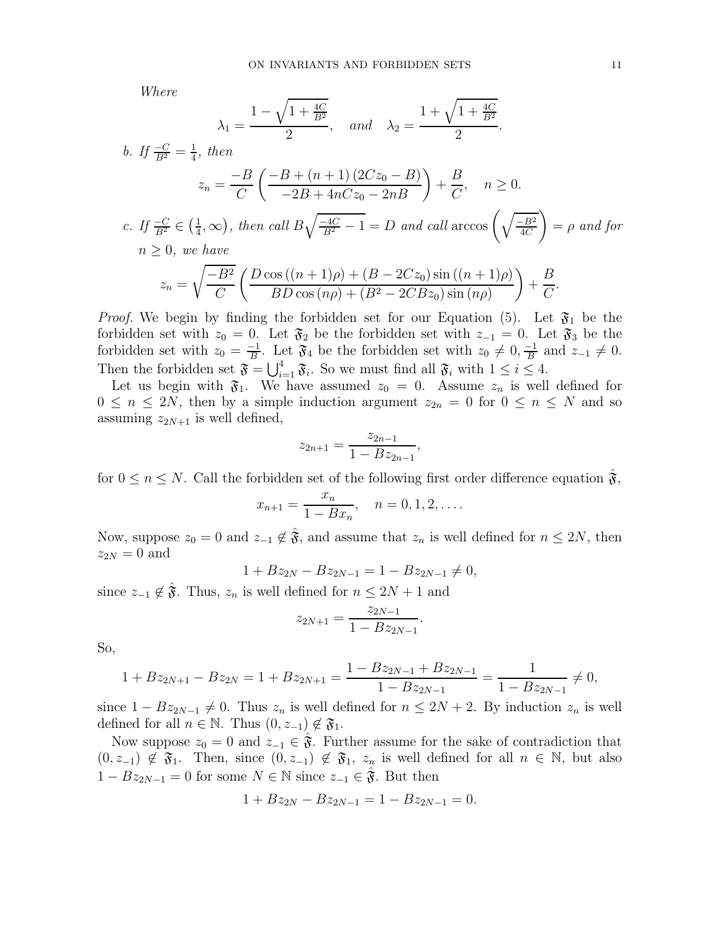Where

$$
\lambda_1 = \frac{1 - \sqrt{1 + \frac{4C}{B^2}}}{2}
$$
, and  $\lambda_2 = \frac{1 + \sqrt{1 + \frac{4C}{B^2}}}{2}$ .

b. If 
$$
\frac{-C}{B^2} = \frac{1}{4}
$$
, then

\n
$$
z_n = \frac{-B}{C} \left( \frac{-B + (n+1)(2Cz_0 - B)}{-2B + 4nCz_0 - 2nB} \right) + \frac{B}{C}, \quad n \ge 0.
$$
\nc. If  $\frac{-C}{B^2} \in \left(\frac{1}{4}, \infty\right)$ , then call  $B\sqrt{\frac{-4C}{B^2} - 1} = D$  and call  $\arccos\left(\sqrt{\frac{-B^2}{4C}}\right) = \rho$  and for

\n
$$
n \ge 0, \text{ we have}
$$
\n
$$
z_n = \sqrt{\frac{-B^2}{C}} \left( \frac{D\cos\left((n+1)\rho\right) + (B - 2Cz_0)\sin\left((n+1)\rho\right)}{BD\cos\left(n\rho\right) + (B^2 - 2CBz_0)\sin\left(n\rho\right)} \right) + \frac{B}{C}.
$$

*Proof.* We begin by finding the forbidden set for our Equation (5). Let  $\mathfrak{F}_1$  be the forbidden set with  $z_0 = 0$ . Let  $\mathfrak{F}_2$  be the forbidden set with  $z_{-1} = 0$ . Let  $\mathfrak{F}_3$  be the forbidden set with  $z_0 = \frac{-1}{B}$  $\frac{-1}{B}$ . Let  $\mathfrak{F}_4$  be the forbidden set with  $z_0 \neq 0, \frac{-1}{B}$  $\frac{-1}{B}$  and  $z_{-1} \neq 0$ . Then the forbidden set  $\mathfrak{F} = \bigcup_{i=1}^4 \mathfrak{F}_i$ . So we must find all  $\mathfrak{F}_i$  with  $1 \leq i \leq 4$ .

Let us begin with  $\mathfrak{F}_1$ . We have assumed  $z_0 = 0$ . Assume  $z_n$  is well defined for  $0 \leq n \leq 2N$ , then by a simple induction argument  $z_{2n} = 0$  for  $0 \leq n \leq N$  and so assuming  $z_{2N+1}$  is well defined,

$$
z_{2n+1} = \frac{z_{2n-1}}{1 - Bz_{2n-1}},
$$

for  $0 \le n \le N$ . Call the forbidden set of the following first order difference equation  $\hat{\mathfrak{F}}$ ,

$$
x_{n+1} = \frac{x_n}{1 - Bx_n}, \quad n = 0, 1, 2, \dots
$$

Now, suppose  $z_0 = 0$  and  $z_{-1} \notin \hat{\mathfrak{F}}$ , and assume that  $z_n$  is well defined for  $n \leq 2N$ , then  $z_{2N} = 0$  and

$$
1 + Bz_{2N} - Bz_{2N-1} = 1 - Bz_{2N-1} \neq 0,
$$

since  $z_{-1} \notin \hat{\mathfrak{F}}$ . Thus,  $z_n$  is well defined for  $n \leq 2N + 1$  and

$$
z_{2N+1} = \frac{z_{2N-1}}{1 - Bz_{2N-1}}.
$$

So,

$$
1 + Bz_{2N+1} - Bz_{2N} = 1 + Bz_{2N+1} = \frac{1 - Bz_{2N-1} + Bz_{2N-1}}{1 - Bz_{2N-1}} = \frac{1}{1 - Bz_{2N-1}} \neq 0,
$$

since  $1 - Bz_{2N-1} \neq 0$ . Thus  $z_n$  is well defined for  $n \leq 2N + 2$ . By induction  $z_n$  is well defined for all  $n \in \mathbb{N}$ . Thus  $(0, z_{-1}) \notin \mathfrak{F}_1$ .

Now suppose  $z_0 = 0$  and  $z_{-1} \in \mathfrak{F}$ . Further assume for the sake of contradiction that  $(0, z_{-1}) \notin \mathfrak{F}_1$ . Then, since  $(0, z_{-1}) \notin \mathfrak{F}_1$ ,  $z_n$  is well defined for all  $n \in \mathbb{N}$ , but also  $1 - Bz_{2N-1} = 0$  for some  $N \in \mathbb{N}$  since  $z_{-1} \in \mathfrak{F}$ . But then

$$
1 + Bz_{2N} - Bz_{2N-1} = 1 - Bz_{2N-1} = 0.
$$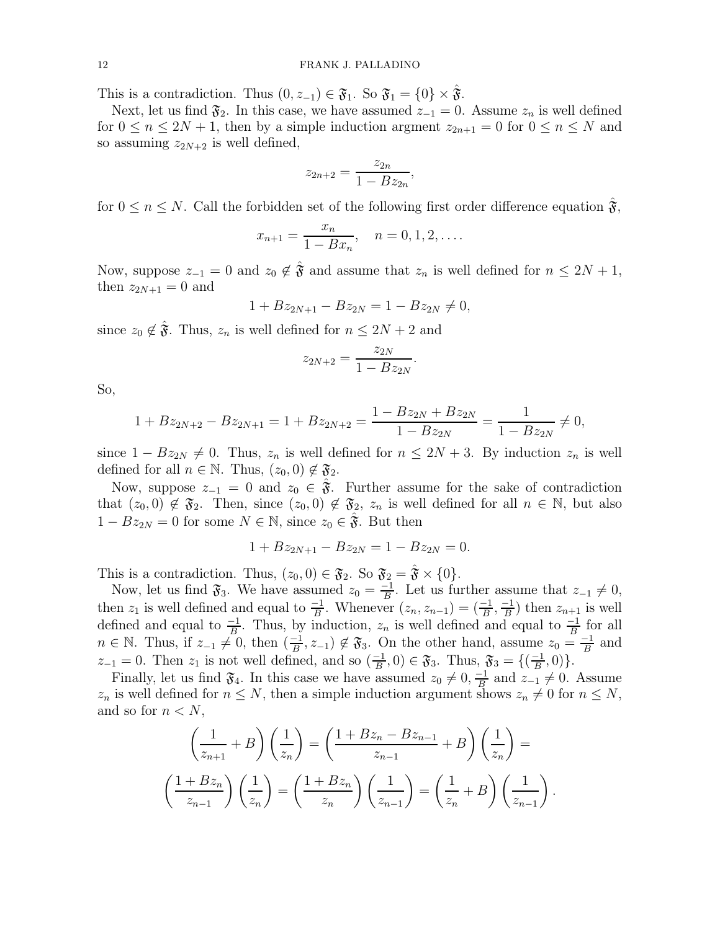This is a contradiction. Thus  $(0, z_{-1}) \in \mathfrak{F}_1$ . So  $\mathfrak{F}_1 = \{0\} \times \mathfrak{F}$ .

Next, let us find  $\mathfrak{F}_2$ . In this case, we have assumed  $z_{-1} = 0$ . Assume  $z_n$  is well defined for  $0 \le n \le 2N + 1$ , then by a simple induction argment  $z_{2n+1} = 0$  for  $0 \le n \le N$  and so assuming  $z_{2N+2}$  is well defined,

$$
z_{2n+2} = \frac{z_{2n}}{1 - Bz_{2n}},
$$

for  $0 \le n \le N$ . Call the forbidden set of the following first order difference equation  $\hat{\mathbf{\hat{x}}}$ ,

$$
x_{n+1} = \frac{x_n}{1 - Bx_n}, \quad n = 0, 1, 2, \dots
$$

Now, suppose  $z_{-1} = 0$  and  $z_0 \notin \hat{\mathfrak{F}}$  and assume that  $z_n$  is well defined for  $n \leq 2N + 1$ , then  $z_{2N+1} = 0$  and

$$
1 + Bz_{2N+1} - Bz_{2N} = 1 - Bz_{2N} \neq 0,
$$

since  $z_0 \notin \hat{\mathfrak{F}}$ . Thus,  $z_n$  is well defined for  $n \leq 2N + 2$  and

$$
z_{2N+2} = \frac{z_{2N}}{1 - Bz_{2N}}.
$$

So,

$$
1 + Bz_{2N+2} - Bz_{2N+1} = 1 + Bz_{2N+2} = \frac{1 - Bz_{2N} + Bz_{2N}}{1 - Bz_{2N}} = \frac{1}{1 - Bz_{2N}} \neq 0,
$$

since  $1 - Bz_{2N} \neq 0$ . Thus,  $z_n$  is well defined for  $n \leq 2N + 3$ . By induction  $z_n$  is well defined for all  $n \in \mathbb{N}$ . Thus,  $(z_0, 0) \notin \mathfrak{F}_2$ .

Now, suppose  $z_{-1} = 0$  and  $z_0 \in \mathfrak{F}$ . Further assume for the sake of contradiction that  $(z_0, 0) \notin \mathfrak{F}_2$ . Then, since  $(z_0, 0) \notin \mathfrak{F}_2$ ,  $z_n$  is well defined for all  $n \in \mathbb{N}$ , but also  $1 - Bz_{2N} = 0$  for some  $N \in \mathbb{N}$ , since  $z_0 \in \mathfrak{F}$ . But then

$$
1 + Bz_{2N+1} - Bz_{2N} = 1 - Bz_{2N} = 0.
$$

This is a contradiction. Thus,  $(z_0, 0) \in \mathfrak{F}_2$ . So  $\mathfrak{F}_2 = \mathfrak{F} \times \{0\}.$ 

Now, let us find  $\mathfrak{F}_3$ . We have assumed  $z_0 = \frac{-1}{B}$  $\frac{-1}{B}$ . Let us further assume that  $z_{-1} \neq 0$ , then  $z_1$  is well defined and equal to  $\frac{-1}{B}$ . Whenever  $(z_n, z_{n-1}) = (\frac{-1}{B}, \frac{-1}{B})$  $\frac{-1}{B}$ ) then  $z_{n+1}$  is well defined and equal to  $\frac{-1}{B}$ . Thus, by induction,  $z_n$  is well defined and equal to  $\frac{-1}{B}$  for all  $n \in \mathbb{N}$ . Thus, if  $z_{-1} \neq 0$ , then  $\left(\frac{-1}{B}\right)$  $(\frac{-1}{B}, z_{-1}) \notin \mathfrak{F}_3$ . On the other hand, assume  $z_0 = \frac{-1}{B}$  $\frac{-1}{B}$  and  $z_{-1} = 0$ . Then  $z_1$  is not well defined, and so  $\left(\frac{-1}{B}\right)$  $\frac{-1}{B}$ , 0)  $\in \mathfrak{F}_3$ . Thus,  $\mathfrak{F}_3 = \{(\frac{-1}{B})\}$  $\frac{-1}{B}, 0) \}.$ 

Finally, let us find  $\mathfrak{F}_4$ . In this case we have assumed  $z_0 \neq 0, \frac{-1}{B}$  $\frac{-1}{B}$  and  $z_{-1} \neq 0$ . Assume  $z_n$  is well defined for  $n \leq N$ , then a simple induction argument shows  $z_n \neq 0$  for  $n \leq N$ , and so for  $n < N$ ,

$$
\left(\frac{1}{z_{n+1}}+B\right)\left(\frac{1}{z_n}\right) = \left(\frac{1+Bz_n - Bz_{n-1}}{z_{n-1}}+B\right)\left(\frac{1}{z_n}\right) =
$$
\n
$$
\left(\frac{1+Bz_n}{z_{n-1}}\right)\left(\frac{1}{z_n}\right) = \left(\frac{1+Bz_n}{z_n}\right)\left(\frac{1}{z_{n-1}}\right) = \left(\frac{1}{z_n}+B\right)\left(\frac{1}{z_{n-1}}\right).
$$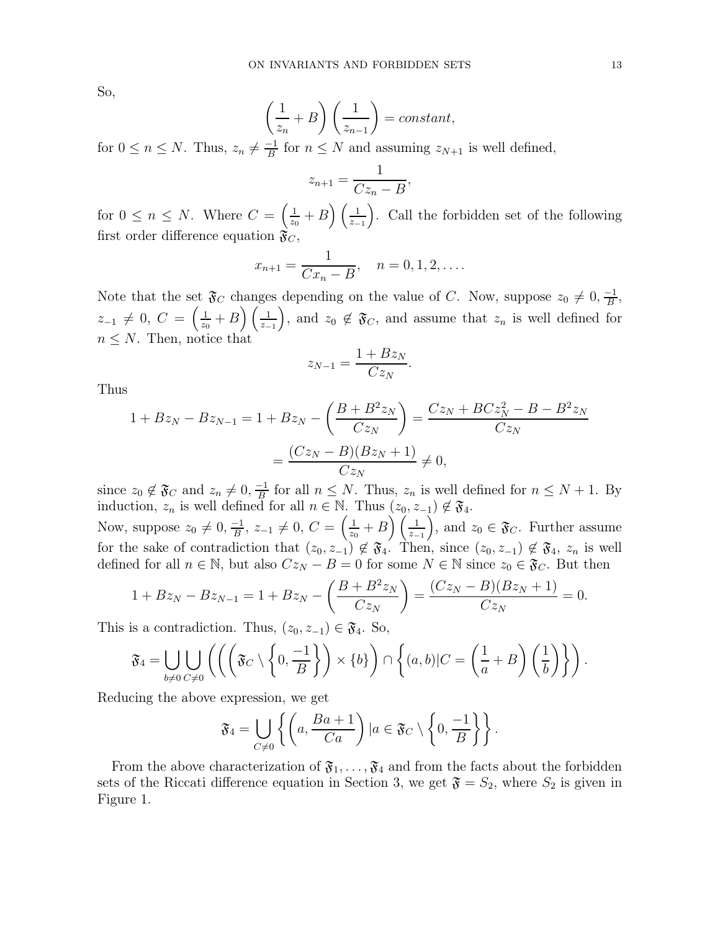So,

$$
\left(\frac{1}{z_n} + B\right)\left(\frac{1}{z_{n-1}}\right) = constant,
$$

for  $0 \le n \le N$ . Thus,  $z_n \neq \frac{-1}{B}$  $\frac{-1}{B}$  for  $n \leq N$  and assuming  $z_{N+1}$  is well defined,

$$
z_{n+1} = \frac{1}{Cz_n - B},
$$

for  $0 \leq n \leq N$ . Where  $C = \left(\frac{1}{z_0}\right)$  $\frac{1}{z_0} + B\left(\frac{1}{z-1}\right)$ . Call the forbidden set of the following first order difference equation  $\mathfrak{F}_C$ ,

$$
x_{n+1} = \frac{1}{Cx_n - B}, \quad n = 0, 1, 2, ....
$$

Note that the set  $\mathfrak{F}_C$  changes depending on the value of C. Now, suppose  $z_0 \neq 0, \frac{-1}{B}$  $\frac{-1}{B}$  $z_{-1} \neq 0, C = \left(\frac{1}{z_0}\right)$  $\frac{1}{z_0}+B\left(\frac{1}{z-1}\right)$ , and  $z_0 \notin \mathfrak{F}_C$ , and assume that  $z_n$  is well defined for  $n \leq N$ . Then, notice that

$$
z_{N-1} = \frac{1 + Bz_N}{Cz_N}.
$$

Thus

$$
1 + Bz_N - Bz_{N-1} = 1 + Bz_N - \left(\frac{B + B^2 z_N}{C z_N}\right) = \frac{Cz_N + BCz_N^2 - B - B^2 z_N}{Cz_N}
$$

$$
= \frac{(Cz_N - B)(Bz_N + 1)}{Cz_N} \neq 0,
$$

since  $z_0 \notin \mathfrak{F}_C$  and  $z_n \neq 0, \frac{-1}{B}$  $\frac{1}{B}$  for all  $n \leq N$ . Thus,  $z_n$  is well defined for  $n \leq N+1$ . By induction,  $z_n$  is well defined for all  $n \in \mathbb{N}$ . Thus  $(z_0, z_{-1}) \notin \mathfrak{F}_4$ .

Now, suppose  $z_0 \neq 0, \frac{-1}{B}$  $\frac{-1}{B}$ ,  $z_{-1} \neq 0$ ,  $C = \left(\frac{1}{z_0}\right)$  $\left(\frac{1}{z_{-1}}\right),$  and  $z_0 \in \mathfrak{F}_C$ . Further assume for the sake of contradiction that  $(z_0, z_{-1}) \notin \mathfrak{F}_4$ . Then, since  $(z_0, z_{-1}) \notin \mathfrak{F}_4$ ,  $z_n$  is well defined for all  $n \in \mathbb{N}$ , but also  $Cz_N - B = 0$  for some  $N \in \mathbb{N}$  since  $z_0 \in \mathfrak{F}_C$ . But then

$$
1 + Bz_N - Bz_{N-1} = 1 + Bz_N - \left(\frac{B + B^2 z_N}{C z_N}\right) = \frac{(Cz_N - B)(Bz_N + 1)}{C z_N} = 0.
$$

This is a contradiction. Thus,  $(z_0, z_{-1}) \in \mathfrak{F}_4$ . So,

$$
\mathfrak{F}_4 = \bigcup_{b \neq 0} \bigcup_{C \neq 0} \left( \left( \left( \mathfrak{F}_C \setminus \left\{0, \frac{-1}{B}\right\} \right) \times \{b\} \right) \cap \left\{ (a, b) | C = \left( \frac{1}{a} + B \right) \left( \frac{1}{b} \right) \right\} \right).
$$

Reducing the above expression, we get

$$
\mathfrak{F}_4 = \bigcup_{C \neq 0} \left\{ \left( a, \frac{Ba+1}{Ca} \right) \big| a \in \mathfrak{F}_C \setminus \left\{ 0, \frac{-1}{B} \right\} \right\}.
$$

From the above characterization of  $\mathfrak{F}_1, \ldots, \mathfrak{F}_4$  and from the facts about the forbidden sets of the Riccati difference equation in Section 3, we get  $\mathfrak{F} = S_2$ , where  $S_2$  is given in Figure 1.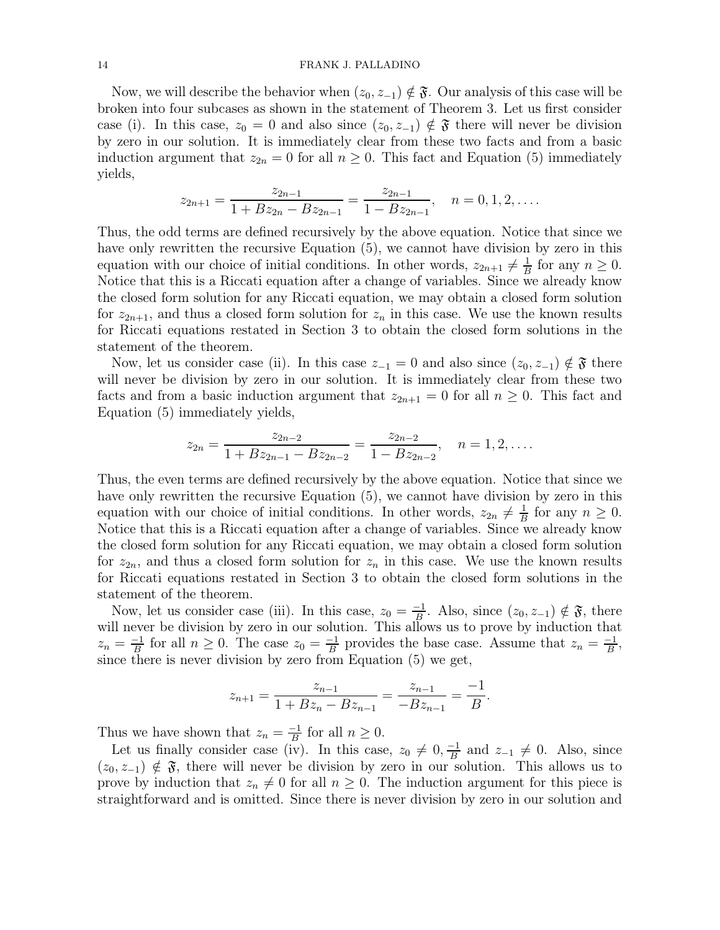### 14 FRANK J. PALLADINO

Now, we will describe the behavior when  $(z_0, z_{-1}) \notin \mathfrak{F}$ . Our analysis of this case will be broken into four subcases as shown in the statement of Theorem 3. Let us first consider case (i). In this case,  $z_0 = 0$  and also since  $(z_0, z_{-1}) \notin \mathfrak{F}$  there will never be division by zero in our solution. It is immediately clear from these two facts and from a basic induction argument that  $z_{2n} = 0$  for all  $n \geq 0$ . This fact and Equation (5) immediately yields,

$$
z_{2n+1} = \frac{z_{2n-1}}{1 + Bz_{2n} - Bz_{2n-1}} = \frac{z_{2n-1}}{1 - Bz_{2n-1}}, \quad n = 0, 1, 2, \dots
$$

Thus, the odd terms are defined recursively by the above equation. Notice that since we have only rewritten the recursive Equation (5), we cannot have division by zero in this equation with our choice of initial conditions. In other words,  $z_{2n+1} \neq \frac{1}{B}$  $rac{1}{B}$  for any  $n \geq 0$ . Notice that this is a Riccati equation after a change of variables. Since we already know the closed form solution for any Riccati equation, we may obtain a closed form solution for  $z_{2n+1}$ , and thus a closed form solution for  $z_n$  in this case. We use the known results for Riccati equations restated in Section 3 to obtain the closed form solutions in the statement of the theorem.

Now, let us consider case (ii). In this case  $z_{-1} = 0$  and also since  $(z_0, z_{-1}) \notin \mathfrak{F}$  there will never be division by zero in our solution. It is immediately clear from these two facts and from a basic induction argument that  $z_{2n+1} = 0$  for all  $n \geq 0$ . This fact and Equation (5) immediately yields,

$$
z_{2n} = \frac{z_{2n-2}}{1 + Bz_{2n-1} - Bz_{2n-2}} = \frac{z_{2n-2}}{1 - Bz_{2n-2}}, \quad n = 1, 2, ....
$$

Thus, the even terms are defined recursively by the above equation. Notice that since we have only rewritten the recursive Equation (5), we cannot have division by zero in this equation with our choice of initial conditions. In other words,  $z_{2n} \neq \frac{1}{B}$  $rac{1}{B}$  for any  $n \geq 0$ . Notice that this is a Riccati equation after a change of variables. Since we already know the closed form solution for any Riccati equation, we may obtain a closed form solution for  $z_{2n}$ , and thus a closed form solution for  $z_n$  in this case. We use the known results for Riccati equations restated in Section 3 to obtain the closed form solutions in the statement of the theorem.

Now, let us consider case (iii). In this case,  $z_0 = \frac{-1}{B}$  $\frac{-1}{B}$ . Also, since  $(z_0, z_{-1}) \notin \mathfrak{F}$ , there will never be division by zero in our solution. This allows us to prove by induction that  $z_n = \frac{-1}{B}$  $\frac{-1}{B}$  for all  $n \geq 0$ . The case  $z_0 = \frac{-1}{B}$  $\frac{-1}{B}$  provides the base case. Assume that  $z_n = \frac{-1}{B}$  $\frac{-1}{B}$ since there is never division by zero from Equation (5) we get,

$$
z_{n+1} = \frac{z_{n-1}}{1 + Bz_n - Bz_{n-1}} = \frac{z_{n-1}}{-Bz_{n-1}} = \frac{-1}{B}.
$$

Thus we have shown that  $z_n = \frac{-1}{B}$  $\frac{-1}{B}$  for all  $n \geq 0$ .

Let us finally consider case (iv). In this case,  $z_0 \neq 0, \frac{-1}{B}$  $\frac{-1}{B}$  and  $z_{-1} \neq 0$ . Also, since  $(z_0, z_{-1}) \notin \mathfrak{F}$ , there will never be division by zero in our solution. This allows us to prove by induction that  $z_n \neq 0$  for all  $n \geq 0$ . The induction argument for this piece is straightforward and is omitted. Since there is never division by zero in our solution and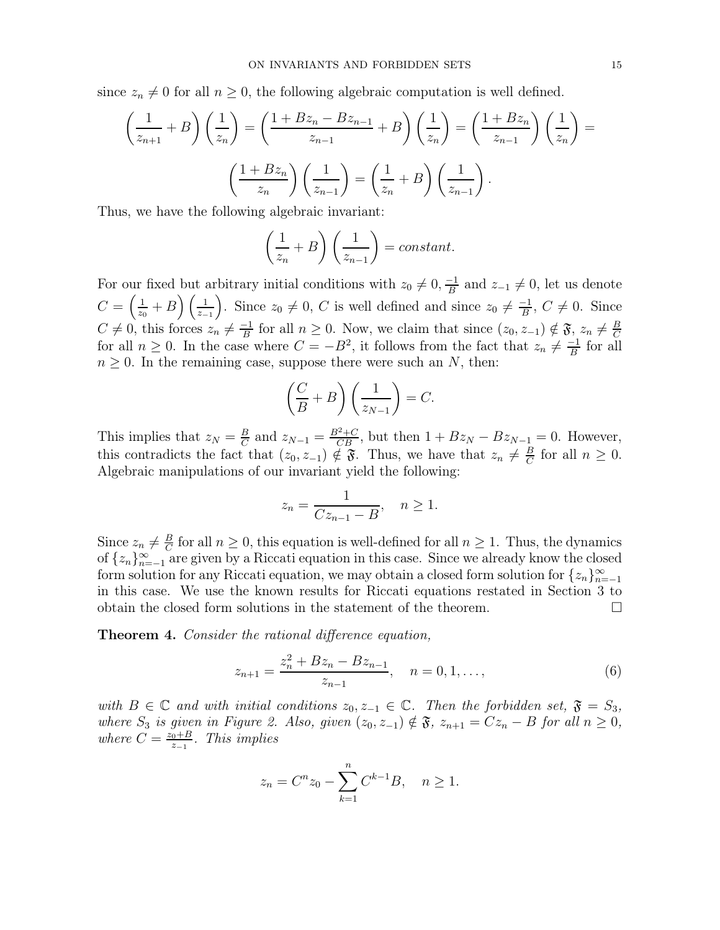since  $z_n \neq 0$  for all  $n \geq 0$ , the following algebraic computation is well defined.

$$
\left(\frac{1}{z_{n+1}} + B\right)\left(\frac{1}{z_n}\right) = \left(\frac{1 + Bz_n - Bz_{n-1}}{z_{n-1}} + B\right)\left(\frac{1}{z_n}\right) = \left(\frac{1 + Bz_n}{z_{n-1}}\right)\left(\frac{1}{z_n}\right) = \left(\frac{1 + Bz_n}{z_n}\right)\left(\frac{1}{z_{n-1}}\right) = \left(\frac{1}{z_n} + B\right)\left(\frac{1}{z_{n-1}}\right).
$$

Thus, we have the following algebraic invariant:

$$
\left(\frac{1}{z_n} + B\right)\left(\frac{1}{z_{n-1}}\right) = constant.
$$

For our fixed but arbitrary initial conditions with  $z_0 \neq 0, \frac{-1}{B}$  $\frac{-1}{B}$  and  $z_{-1} \neq 0$ , let us denote  $C=\left(\frac{1}{\tau_c}\right)$  $\frac{1}{z_0}+B\left(\frac{1}{z-1}\right)$ . Since  $z_0\neq 0, C$  is well defined and since  $z_0\neq \frac{-1}{B}$  $\frac{-1}{B}$ ,  $C \neq 0$ . Since  $C \neq 0$ , this forces  $z_n \neq \frac{-1}{B}$  $\frac{-1}{B}$  for all  $n \geq 0$ . Now, we claim that since  $(z_0, z_{-1}) \notin \mathfrak{F}, z_n \neq \frac{B}{C}$  $\mathcal{C}_{0}^{(n)}$ for all  $n \geq 0$ . In the case where  $C = -B^2$ , it follows from the fact that  $z_n \neq \frac{-1}{B}$  $\frac{-1}{B}$  for all  $n \geq 0$ . In the remaining case, suppose there were such an N, then:

$$
\left(\frac{C}{B} + B\right)\left(\frac{1}{z_{N-1}}\right) = C.
$$

This implies that  $z_N = \frac{B}{C}$  $\frac{B}{C}$  and  $z_{N-1} = \frac{B^2+C}{CB}$ , but then  $1+Bz_N - Bz_{N-1} = 0$ . However, this contradicts the fact that  $(z_0, z_{-1}) \notin \mathfrak{F}$ . Thus, we have that  $z_n \neq \frac{B}{C}$  $\frac{B}{C}$  for all  $n \geq 0$ . Algebraic manipulations of our invariant yield the following:

$$
z_n = \frac{1}{Cz_{n-1} - B}, \quad n \ge 1.
$$

Since  $z_n \neq \frac{B}{C}$  $\frac{B}{C}$  for all  $n \geq 0$ , this equation is well-defined for all  $n \geq 1$ . Thus, the dynamics of  $\{z_n\}_{n=-1}^{\infty}$  are given by a Riccati equation in this case. Since we already know the closed form solution for any Riccati equation, we may obtain a closed form solution for  $\{z_n\}_{n=-1}^{\infty}$ in this case. We use the known results for Riccati equations restated in Section 3 to obtain the closed form solutions in the statement of the theorem.

Theorem 4. Consider the rational difference equation,

$$
z_{n+1} = \frac{z_n^2 + Bz_n - Bz_{n-1}}{z_{n-1}}, \quad n = 0, 1, \dots,
$$
 (6)

with  $B \in \mathbb{C}$  and with initial conditions  $z_0, z_{-1} \in \mathbb{C}$ . Then the forbidden set,  $\mathfrak{F} = S_3$ , where  $S_3$  is given in Figure 2. Also, given  $(z_0, z_{-1}) \notin \mathfrak{F}$ ,  $z_{n+1} = Cz_n - B$  for all  $n \geq 0$ , where  $C = \frac{z_0 + B}{z_0}$  $rac{a+B}{z-1}$ . This implies

$$
z_n = C^n z_0 - \sum_{k=1}^n C^{k-1} B, \quad n \ge 1.
$$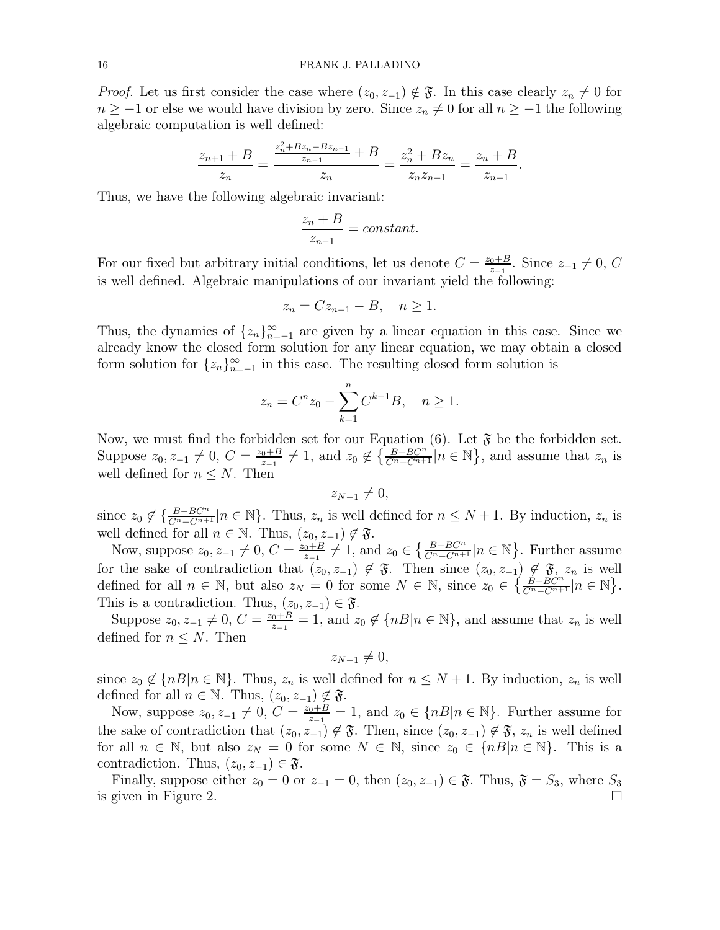*Proof.* Let us first consider the case where  $(z_0, z_{-1}) \notin \mathfrak{F}$ . In this case clearly  $z_n \neq 0$  for  $n \ge -1$  or else we would have division by zero. Since  $z_n \ne 0$  for all  $n \ge -1$  the following algebraic computation is well defined:

$$
\frac{z_{n+1} + B}{z_n} = \frac{\frac{z_n^2 + Bz_n - Bz_{n-1}}{z_{n-1}} + B}{z_n} = \frac{z_n^2 + Bz_n}{z_n z_{n-1}} = \frac{z_n + B}{z_{n-1}}.
$$

Thus, we have the following algebraic invariant:

$$
\frac{z_n + B}{z_{n-1}} = constant.
$$

For our fixed but arbitrary initial conditions, let us denote  $C = \frac{z_0 + B}{z-1}$  $\frac{0+B}{z-1}$ . Since  $z_{-1} \neq 0, C$ is well defined. Algebraic manipulations of our invariant yield the following:

$$
z_n = C z_{n-1} - B, \quad n \ge 1.
$$

Thus, the dynamics of  $\{z_n\}_{n=-1}^{\infty}$  are given by a linear equation in this case. Since we already know the closed form solution for any linear equation, we may obtain a closed form solution for  $\{z_n\}_{n=-1}^{\infty}$  in this case. The resulting closed form solution is

$$
z_n = C^n z_0 - \sum_{k=1}^n C^{k-1} B, \quad n \ge 1.
$$

Now, we must find the forbidden set for our Equation  $(6)$ . Let  $\mathfrak{F}$  be the forbidden set. Suppose  $z_0, z_{-1} \neq 0, C = \frac{z_0 + B}{z_{-1}}$  $\frac{a+B}{z-1} \neq 1$ , and  $z_0 \notin \left\{ \frac{B-BC^n}{C^n-C^{n+1}} \middle| n \in \mathbb{N} \right\}$ , and assume that  $z_n$  is well defined for  $n \leq N$ . Then

$$
z_{N-1}\neq 0,
$$

since  $z_0 \notin \{\frac{B-BC^n}{C^n-C^{n+1}}|n \in \mathbb{N}\}$ . Thus,  $z_n$  is well defined for  $n \leq N+1$ . By induction,  $z_n$  is well defined for all  $n \in \mathbb{N}$ . Thus,  $(z_0, z_{-1}) \notin \mathfrak{F}$ .

Now, suppose  $z_0, z_{-1} \neq 0, C = \frac{z_0 + B}{z_{-1}}$  $\frac{a+B}{z-1} \neq 1$ , and  $z_0 \in \left\{ \frac{B-BC^n}{C^n - C^{n+1}} | n \in \mathbb{N} \right\}$ . Further assume for the sake of contradiction that  $(z_0, z_{-1}) \notin \mathfrak{F}$ . Then since  $(z_0, z_{-1}) \notin \mathfrak{F}$ ,  $z_n$  is well defined for all  $n \in \mathbb{N}$ , but also  $z_N = 0$  for some  $N \in \mathbb{N}$ , since  $z_0 \in \left\{ \frac{B - BC^n}{C^n - C^{n+1}} | n \in \mathbb{N} \right\}$ . This is a contradiction. Thus,  $(z_0, z_{-1}) \in \mathfrak{F}$ .

Suppose  $z_0, z_{-1} \neq 0, C = \frac{z_0 + B}{z_{-1}}$  $\frac{a+B}{z-1} = 1$ , and  $z_0 \notin \{nB | n \in \mathbb{N}\}\$ , and assume that  $z_n$  is well defined for  $n \leq N$ . Then

$$
z_{N-1}\neq 0,
$$

since  $z_0 \notin \{nB|n \in \mathbb{N}\}$ . Thus,  $z_n$  is well defined for  $n \leq N+1$ . By induction,  $z_n$  is well defined for all  $n \in \mathbb{N}$ . Thus,  $(z_0, z_{-1}) \notin \mathfrak{F}$ .

Now, suppose  $z_0, z_{-1} \neq 0, C = \frac{z_0 + B}{z_{-1}}$  $\frac{a+B}{z-1} = 1$ , and  $z_0 \in \{nB | n \in \mathbb{N}\}\$ . Further assume for the sake of contradiction that  $(z_0, z_{-1}) \notin \mathfrak{F}$ . Then, since  $(z_0, z_{-1}) \notin \mathfrak{F}$ ,  $z_n$  is well defined for all  $n \in \mathbb{N}$ , but also  $z_N = 0$  for some  $N \in \mathbb{N}$ , since  $z_0 \in \{nB | n \in \mathbb{N}\}\$ . This is a contradiction. Thus,  $(z_0, z_{-1}) \in \mathfrak{F}$ .

Finally, suppose either  $z_0 = 0$  or  $z_{-1} = 0$ , then  $(z_0, z_{-1}) \in \mathfrak{F}$ . Thus,  $\mathfrak{F} = S_3$ , where  $S_3$ is given in Figure 2.  $\Box$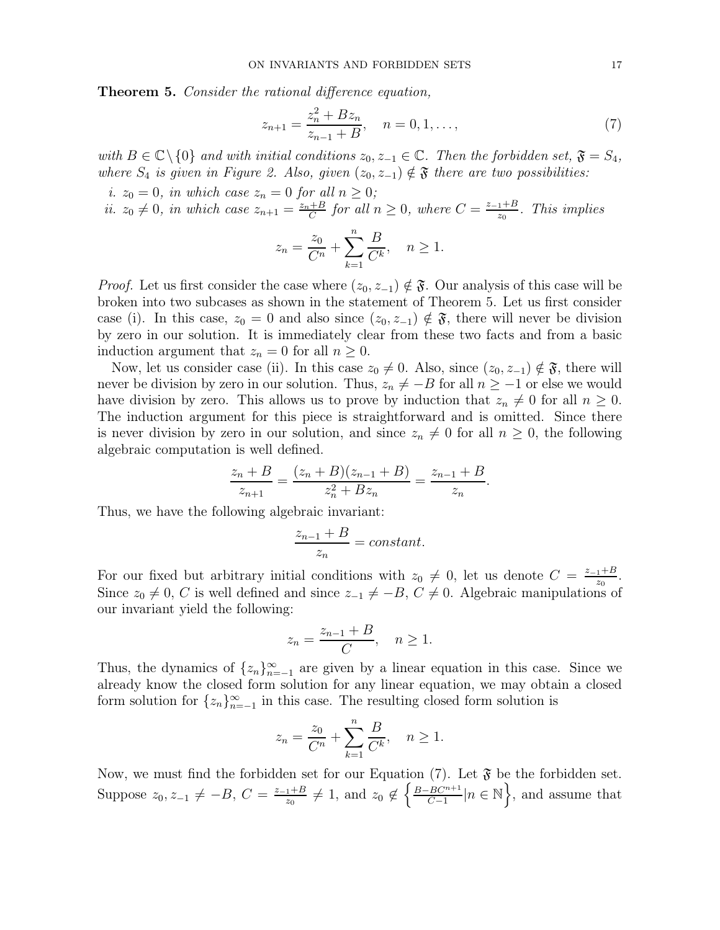Theorem 5. Consider the rational difference equation,

$$
z_{n+1} = \frac{z_n^2 + Bz_n}{z_{n-1} + B}, \quad n = 0, 1, \dots,
$$
\n(7)

with  $B \in \mathbb{C} \setminus \{0\}$  and with initial conditions  $z_0, z_{-1} \in \mathbb{C}$ . Then the forbidden set,  $\mathfrak{F} = S_4$ , where  $S_4$  is given in Figure 2. Also, given  $(z_0, z_{-1}) \notin \mathfrak{F}$  there are two possibilities:

i.  $z_0 = 0$ , in which case  $z_n = 0$  for all  $n \geq 0$ ;

ii.  $z_0 \neq 0$ , in which case  $z_{n+1} = \frac{z_n + B}{C}$  $\frac{+B}{C}$  for all  $n \geq 0$ , where  $C = \frac{z_{-1} + B}{z_0}$  $rac{1+B}{z_0}$ . This implies

$$
z_n = \frac{z_0}{C^n} + \sum_{k=1}^n \frac{B}{C^k}, \quad n \ge 1.
$$

*Proof.* Let us first consider the case where  $(z_0, z_{-1}) \notin \mathfrak{F}$ . Our analysis of this case will be broken into two subcases as shown in the statement of Theorem 5. Let us first consider case (i). In this case,  $z_0 = 0$  and also since  $(z_0, z_{-1}) \notin \mathfrak{F}$ , there will never be division by zero in our solution. It is immediately clear from these two facts and from a basic induction argument that  $z_n = 0$  for all  $n \geq 0$ .

Now, let us consider case (ii). In this case  $z_0 \neq 0$ . Also, since  $(z_0, z_{-1}) \notin \mathfrak{F}$ , there will never be division by zero in our solution. Thus,  $z_n \neq -B$  for all  $n \geq -1$  or else we would have division by zero. This allows us to prove by induction that  $z_n \neq 0$  for all  $n \geq 0$ . The induction argument for this piece is straightforward and is omitted. Since there is never division by zero in our solution, and since  $z_n \neq 0$  for all  $n \geq 0$ , the following algebraic computation is well defined.

$$
\frac{z_n + B}{z_{n+1}} = \frac{(z_n + B)(z_{n-1} + B)}{z_n^2 + Bz_n} = \frac{z_{n-1} + B}{z_n}.
$$

Thus, we have the following algebraic invariant:

$$
\frac{z_{n-1} + B}{z_n} = constant.
$$

For our fixed but arbitrary initial conditions with  $z_0 \neq 0$ , let us denote  $C = \frac{z_{-1}+B}{z_0}$  $rac{1+B}{z_0}$ . Since  $z_0 \neq 0$ , C is well defined and since  $z_{-1} \neq -B$ ,  $C \neq 0$ . Algebraic manipulations of our invariant yield the following:

$$
z_n = \frac{z_{n-1} + B}{C}, \quad n \ge 1.
$$

Thus, the dynamics of  $\{z_n\}_{n=-1}^{\infty}$  are given by a linear equation in this case. Since we already know the closed form solution for any linear equation, we may obtain a closed form solution for  $\{z_n\}_{n=-1}^{\infty}$  in this case. The resulting closed form solution is

$$
z_n = \frac{z_0}{C^n} + \sum_{k=1}^n \frac{B}{C^k}, \quad n \ge 1.
$$

Now, we must find the forbidden set for our Equation (7). Let  $\mathfrak{F}$  be the forbidden set. Suppose  $z_0, z_{-1} \neq -B, C = \frac{z_{-1}+B}{z_0}$  $rac{1+B}{z_0} \neq 1$ , and  $z_0 \notin \left\{ \frac{B-BC^{n+1}}{C-1} \right\}$  $\frac{BC^{n+1}}{C-1}|n \in \mathbb{N}$ , and assume that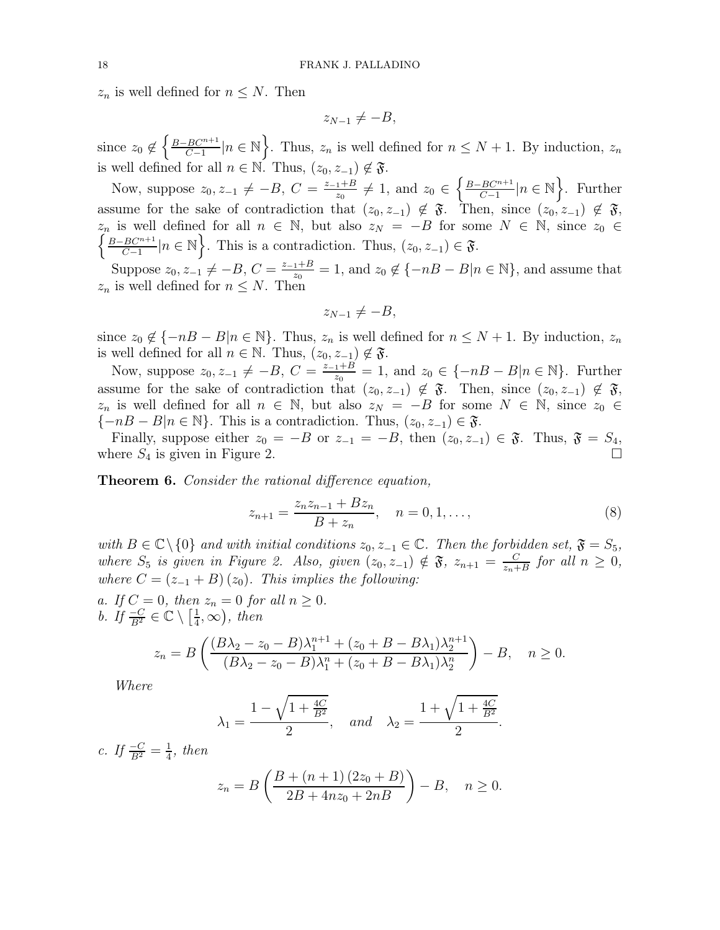$z_n$  is well defined for  $n \leq N$ . Then

$$
z_{N-1}\neq -B,
$$

since  $z_0 \notin \left\{\frac{B-BC^{n+1}}{C-1}\right\}$  $\left\{\frac{BC^{n+1}}{C-1}\middle|n\in\mathbb{N}\right\}$ . Thus,  $z_n$  is well defined for  $n\leq N+1$ . By induction,  $z_n$ is well defined for all  $n \in \mathbb{N}$ . Thus,  $(z_0, z_{-1}) \notin \mathfrak{F}$ .

Now, suppose  $z_0, z_{-1} \neq -B, C = \frac{z_{-1}+B}{z_0}$  $\frac{1+B}{z_0} \neq 1$ , and  $z_0 \in \left\{\frac{B-BC^{n+1}}{C-1}\right\}$  $\frac{BC^{n+1}}{C-1}|n \in \mathbb{N}\bigg\}$ . Further assume for the sake of contradiction that  $(z_0, z_{-1}) \notin \mathfrak{F}$ . Then, since  $(z_0, z_{-1}) \notin \mathfrak{F}$ ,  $z_n$  is well defined for all  $n \in \mathbb{N}$ , but also  $z_N = -B$  for some  $N \in \mathbb{N}$ , since  $z_0 \in$   $\{B - BC^{n+1} | n \in \mathbb{N} \}$ . This is a contradiction. Thus  $(z_0, z_1) \in \mathcal{F}$  $B-BC^{n+1}$  $\left\{\frac{BC^{n+1}}{C-1}\middle|n\in\mathbb{N}\right\}$ . This is a contradiction. Thus,  $(z_0, z_{-1}) \in \mathfrak{F}$ .

Suppose  $z_0, z_{-1} \neq -B, C = \frac{z_{-1}+B}{z_0}$  $\frac{1+B}{z_0} = 1$ , and  $z_0 \notin \{-nB - B | n \in \mathbb{N}\}$ , and assume that  $z_n$  is well defined for  $n \leq N$ . Then

$$
z_{N-1}\neq -B,
$$

since  $z_0 \notin \{-nB - B|n \in \mathbb{N}\}$ . Thus,  $z_n$  is well defined for  $n \leq N + 1$ . By induction,  $z_n$ is well defined for all  $n \in \mathbb{N}$ . Thus,  $(z_0, z_{-1}) \notin \mathfrak{F}$ .

Now, suppose  $z_0, z_{-1} \neq -B, C = \frac{z_{-1}+B}{z_0}$  $\frac{1+B}{z_0} = 1$ , and  $z_0 \in \{-nB - B|n \in \mathbb{N}\}$ . Further assume for the sake of contradiction that  $(z_0, z_{-1}) \notin \mathfrak{F}$ . Then, since  $(z_0, z_{-1}) \notin \mathfrak{F}$ ,  $z_n$  is well defined for all  $n \in \mathbb{N}$ , but also  $z_N = -B$  for some  $N \in \mathbb{N}$ , since  $z_0 \in$  ${-nB - B|n \in \mathbb{N}}$ . This is a contradiction. Thus,  $(z_0, z_{-1}) \in \mathfrak{F}$ .

Finally, suppose either  $z_0 = -B$  or  $z_{-1} = -B$ , then  $(z_0, z_{-1}) \in \mathfrak{F}$ . Thus,  $\mathfrak{F} = S_4$ , where  $S_4$  is given in Figure 2.

Theorem 6. Consider the rational difference equation,

$$
z_{n+1} = \frac{z_n z_{n-1} + B z_n}{B + z_n}, \quad n = 0, 1, \dots,
$$
\n(8)

.

with  $B \in \mathbb{C} \setminus \{0\}$  and with initial conditions  $z_0, z_{-1} \in \mathbb{C}$ . Then the forbidden set,  $\mathfrak{F} = S_5$ , where  $S_5$  is given in Figure 2. Also, given  $(z_0, z_{-1}) \notin \mathfrak{F}$ ,  $z_{n+1} = \frac{C}{z_n+1}$  $\frac{C}{z_n+B}$  for all  $n \geq 0$ , where  $C = (z_{-1} + B)(z_0)$ . This implies the following:

a. If  $C = 0$ , then  $z_n = 0$  for all  $n \geq 0$ . *b.* If  $\frac{-C}{B^2} \in \mathbb{C} \setminus \left[\frac{1}{4}\right]$  $(\frac{1}{4}, \infty)$ , then

$$
z_n = B\left(\frac{(B\lambda_2 - z_0 - B)\lambda_1^{n+1} + (z_0 + B - B\lambda_1)\lambda_2^{n+1}}{(B\lambda_2 - z_0 - B)\lambda_1^n + (z_0 + B - B\lambda_1)\lambda_2^n}\right) - B, \quad n \ge 0.
$$

Where

$$
\lambda_1 = \frac{1 - \sqrt{1 + \frac{4C}{B^2}}}{2}
$$
, and  $\lambda_2 = \frac{1 + \sqrt{1 + \frac{4C}{B^2}}}{2}$ 

c. If 
$$
\frac{-C}{B^2} = \frac{1}{4}
$$
, then  

$$
z_n = B\left(\frac{B + (n+1)(2z_0 + B)}{2B + 4nz_0 + 2nB}\right) - B, \quad n \ge 0.
$$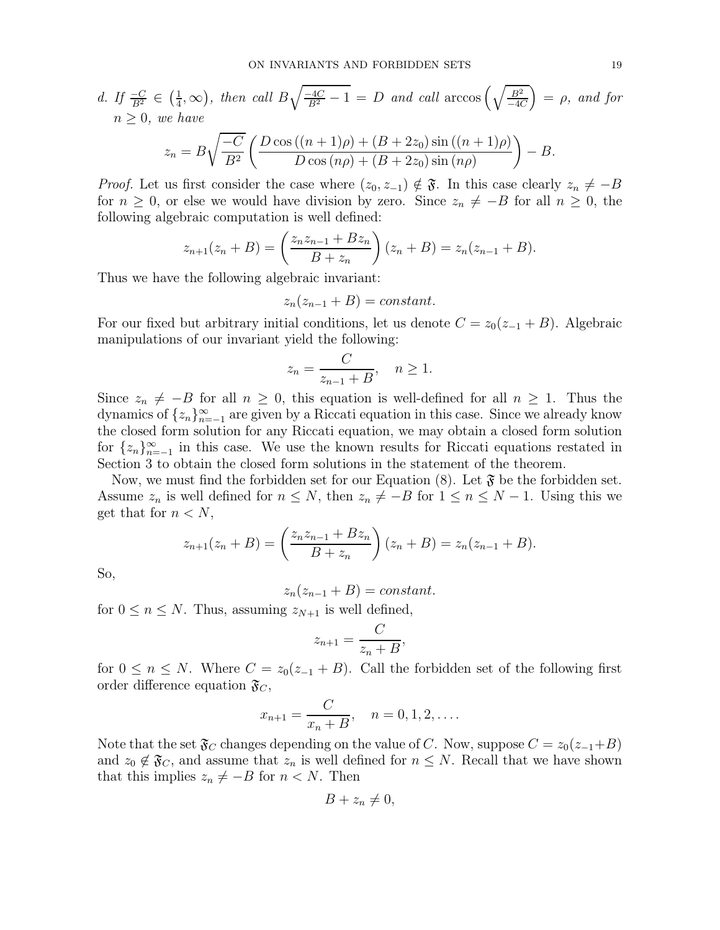d. If 
$$
\frac{-C}{B^2} \in (\frac{1}{4}, \infty)
$$
, then call  $B\sqrt{\frac{-4C}{B^2} - 1} = D$  and call  $\arccos\left(\sqrt{\frac{B^2}{-4C}}\right) = \rho$ , and for   
  $n \ge 0$ , we have  

$$
z_n = B\sqrt{\frac{-C}{B^2}} \left(\frac{D\cos((n+1)\rho) + (B + 2z_0)\sin((n+1)\rho)}{D\cos(n\rho) + (B + 2z_0)\sin(n\rho)}\right) - B.
$$

*Proof.* Let us first consider the case where  $(z_0, z_{-1}) \notin \mathfrak{F}$ . In this case clearly  $z_n \neq -B$ for  $n \geq 0$ , or else we would have division by zero. Since  $z_n \neq -B$  for all  $n \geq 0$ , the following algebraic computation is well defined:

$$
z_{n+1}(z_n + B) = \left(\frac{z_n z_{n-1} + B z_n}{B + z_n}\right)(z_n + B) = z_n(z_{n-1} + B).
$$

Thus we have the following algebraic invariant:

 $z_n(z_{n-1}+B) = constant.$ 

For our fixed but arbitrary initial conditions, let us denote  $C = z_0(z_{-1} + B)$ . Algebraic manipulations of our invariant yield the following:

$$
z_n = \frac{C}{z_{n-1} + B}, \quad n \ge 1.
$$

Since  $z_n \neq -B$  for all  $n \geq 0$ , this equation is well-defined for all  $n \geq 1$ . Thus the dynamics of  $\{z_n\}_{n=-1}^{\infty}$  are given by a Riccati equation in this case. Since we already know the closed form solution for any Riccati equation, we may obtain a closed form solution for  $\{z_n\}_{n=-1}^{\infty}$  in this case. We use the known results for Riccati equations restated in Section 3 to obtain the closed form solutions in the statement of the theorem.

Now, we must find the forbidden set for our Equation  $(8)$ . Let  $\mathfrak{F}$  be the forbidden set. Assume  $z_n$  is well defined for  $n \leq N$ , then  $z_n \neq -B$  for  $1 \leq n \leq N-1$ . Using this we get that for  $n < N$ ,

$$
z_{n+1}(z_n + B) = \left(\frac{z_n z_{n-1} + B z_n}{B + z_n}\right)(z_n + B) = z_n(z_{n-1} + B).
$$

So,

 $z_n(z_{n-1} + B) = constant.$ 

for  $0 \leq n \leq N$ . Thus, assuming  $z_{N+1}$  is well defined,

$$
z_{n+1} = \frac{C}{z_n + B},
$$

for  $0 \leq n \leq N$ . Where  $C = z_0(z_{-1} + B)$ . Call the forbidden set of the following first order difference equation  $\mathfrak{F}_C$ ,

$$
x_{n+1} = \frac{C}{x_n + B}, \quad n = 0, 1, 2, \dots.
$$

Note that the set  $\mathfrak{F}_C$  changes depending on the value of C. Now, suppose  $C = z_0(z_{-1}+B)$ and  $z_0 \notin \mathfrak{F}_C$ , and assume that  $z_n$  is well defined for  $n \leq N$ . Recall that we have shown that this implies  $z_n \neq -B$  for  $n < N$ . Then

$$
B+z_n\neq 0,
$$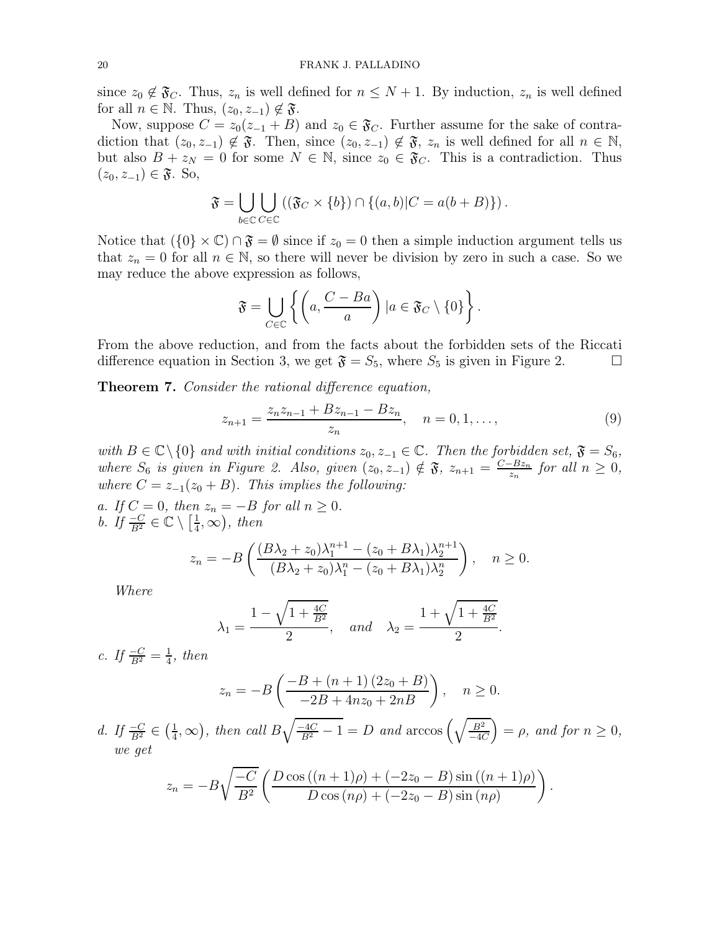since  $z_0 \notin \mathfrak{F}_C$ . Thus,  $z_n$  is well defined for  $n \leq N+1$ . By induction,  $z_n$  is well defined for all  $n \in \mathbb{N}$ . Thus,  $(z_0, z_{-1}) \notin \mathfrak{F}$ .

Now, suppose  $C = z_0(z_{-1} + B)$  and  $z_0 \in \mathfrak{F}_C$ . Further assume for the sake of contradiction that  $(z_0, z_{-1}) \notin \mathfrak{F}$ . Then, since  $(z_0, z_{-1}) \notin \mathfrak{F}$ ,  $z_n$  is well defined for all  $n \in \mathbb{N}$ , but also  $B + z_N = 0$  for some  $N \in \mathbb{N}$ , since  $z_0 \in \mathfrak{F}_C$ . This is a contradiction. Thus  $(z_0, z_{-1}) \in \mathfrak{F}$ . So,

$$
\mathfrak{F} = \bigcup_{b \in \mathbb{C}} \bigcup_{C \in \mathbb{C}} \left( (\mathfrak{F}_C \times \{b\}) \cap \{(a, b) | C = a(b + B) \} \right).
$$

Notice that  $({0} \times \mathbb{C}) \cap \mathfrak{F} = \emptyset$  since if  $z_0 = 0$  then a simple induction argument tells us that  $z_n = 0$  for all  $n \in \mathbb{N}$ , so there will never be division by zero in such a case. So we may reduce the above expression as follows,

$$
\mathfrak{F} = \bigcup_{C \in \mathbb{C}} \left\{ \left( a, \frac{C - Ba}{a} \right) \mid a \in \mathfrak{F}_C \setminus \{0\} \right\}.
$$

From the above reduction, and from the facts about the forbidden sets of the Riccati difference equation in Section 3, we get  $\mathfrak{F} = S_5$ , where  $S_5$  is given in Figure 2.

Theorem 7. Consider the rational difference equation,

$$
z_{n+1} = \frac{z_n z_{n-1} + B z_{n-1} - B z_n}{z_n}, \quad n = 0, 1, \dots,
$$
\n(9)

with  $B \in \mathbb{C} \setminus \{0\}$  and with initial conditions  $z_0, z_{-1} \in \mathbb{C}$ . Then the forbidden set,  $\mathfrak{F} = S_6$ , where  $S_6$  is given in Figure 2. Also, given  $(z_0, z_{-1}) \notin \mathfrak{F}$ ,  $z_{n+1} = \frac{C - Bz_n}{z_n}$  $\frac{-Bz_n}{z_n}$  for all  $n \geq 0$ , where  $C = z_{-1}(z_0 + B)$ . This implies the following:

a. If  $C = 0$ , then  $z_n = -B$  for all  $n \geq 0$ . *b.* If  $\frac{-C}{B^2} \in \mathbb{C} \setminus \left[\frac{1}{4}\right]$  $(\frac{1}{4}, \infty)$ , then

$$
z_n = -B\left(\frac{(B\lambda_2 + z_0)\lambda_1^{n+1} - (z_0 + B\lambda_1)\lambda_2^{n+1}}{(B\lambda_2 + z_0)\lambda_1^n - (z_0 + B\lambda_1)\lambda_2^n}\right), \quad n \ge 0.
$$

Where

$$
\lambda_1 = \frac{1 - \sqrt{1 + \frac{4C}{B^2}}}{2}
$$
, and  $\lambda_2 = \frac{1 + \sqrt{1 + \frac{4C}{B^2}}}{2}$ .

c. If  $\frac{-C}{B^2} = \frac{1}{4}$  $\frac{1}{4}$ , then

$$
z_n = -B\left(\frac{-B + (n+1)(2z_0 + B)}{-2B + 4nz_0 + 2nB}\right), \quad n \ge 0.
$$

d. If  $\frac{-C}{B^2} \in \left(\frac{1}{4}\right)$  $(\frac{1}{4}, \infty)$ , then call  $B\sqrt{\frac{-4C}{B^2}-1} = D$  and  $\arccos\left(\sqrt{\frac{B^2}{-4C}}\right)$  $\left(\frac{B^2}{-4C}\right) = \rho$ , and for  $n \geq 0$ , we get

$$
z_n = -B\sqrt{\frac{-C}{B^2}} \left( \frac{D\cos((n+1)\rho) + (-2z_0 - B)\sin((n+1)\rho)}{D\cos(n\rho) + (-2z_0 - B)\sin(n\rho)} \right).
$$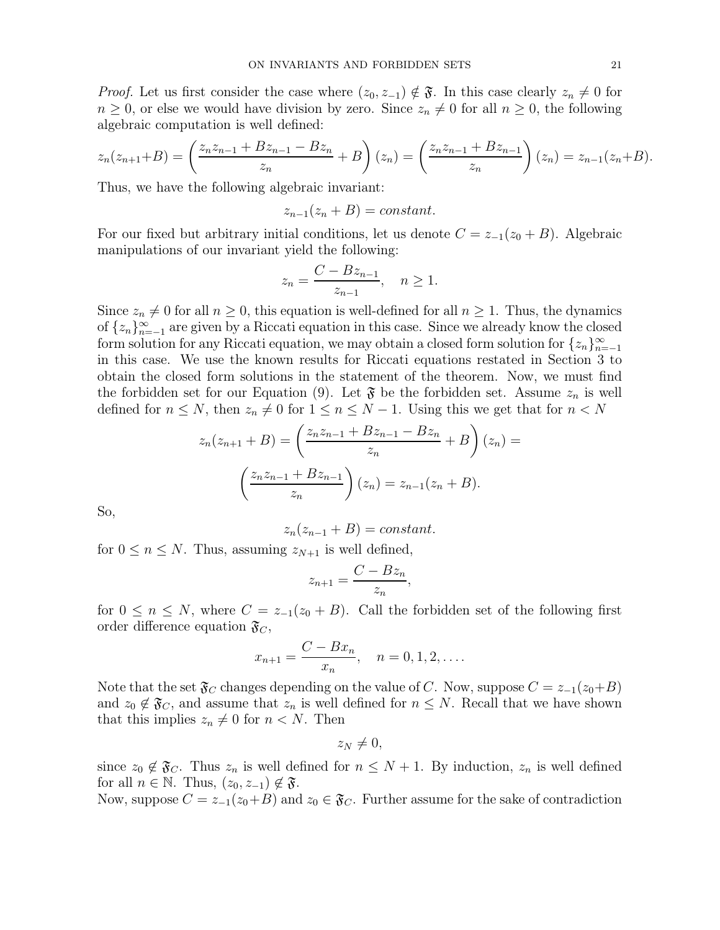*Proof.* Let us first consider the case where  $(z_0, z_{-1}) \notin \mathfrak{F}$ . In this case clearly  $z_n \neq 0$  for  $n \geq 0$ , or else we would have division by zero. Since  $z_n \neq 0$  for all  $n \geq 0$ , the following algebraic computation is well defined:

$$
z_n(z_{n+1}+B) = \left(\frac{z_n z_{n-1} + B z_{n-1} - B z_n}{z_n} + B\right)(z_n) = \left(\frac{z_n z_{n-1} + B z_{n-1}}{z_n}\right)(z_n) = z_{n-1}(z_n + B).
$$

Thus, we have the following algebraic invariant:

$$
z_{n-1}(z_n + B) = constant.
$$

For our fixed but arbitrary initial conditions, let us denote  $C = z_{-1}(z_0 + B)$ . Algebraic manipulations of our invariant yield the following:

$$
z_n = \frac{C - Bz_{n-1}}{z_{n-1}}, \quad n \ge 1.
$$

Since  $z_n \neq 0$  for all  $n \geq 0$ , this equation is well-defined for all  $n \geq 1$ . Thus, the dynamics of  $\{z_n\}_{n=-1}^{\infty}$  are given by a Riccati equation in this case. Since we already know the closed form solution for any Riccati equation, we may obtain a closed form solution for  $\{z_n\}_{n=-1}^{\infty}$ in this case. We use the known results for Riccati equations restated in Section 3 to obtain the closed form solutions in the statement of the theorem. Now, we must find the forbidden set for our Equation (9). Let  $\mathfrak F$  be the forbidden set. Assume  $z_n$  is well defined for  $n \leq N$ , then  $z_n \neq 0$  for  $1 \leq n \leq N-1$ . Using this we get that for  $n < N$ 

$$
z_n(z_{n+1} + B) = \left(\frac{z_n z_{n-1} + B z_{n-1} - B z_n}{z_n} + B\right)(z_n) =
$$

$$
\left(\frac{z_n z_{n-1} + B z_{n-1}}{z_n}\right)(z_n) = z_{n-1}(z_n + B).
$$

So,

$$
z_n(z_{n-1} + B) = constant.
$$

for  $0 \leq n \leq N$ . Thus, assuming  $z_{N+1}$  is well defined,

$$
z_{n+1} = \frac{C - Bz_n}{z_n},
$$

for  $0 \leq n \leq N$ , where  $C = z_{-1}(z_0 + B)$ . Call the forbidden set of the following first order difference equation  $\mathfrak{F}_C$ ,

$$
x_{n+1} = \frac{C - Bx_n}{x_n}, \quad n = 0, 1, 2, \dots
$$

Note that the set  $\mathfrak{F}_C$  changes depending on the value of C. Now, suppose  $C = z_{-1}(z_0+B)$ and  $z_0 \notin \mathfrak{F}_C$ , and assume that  $z_n$  is well defined for  $n \leq N$ . Recall that we have shown that this implies  $z_n \neq 0$  for  $n < N$ . Then

$$
z_N\neq 0,
$$

since  $z_0 \notin \mathfrak{F}_C$ . Thus  $z_n$  is well defined for  $n \leq N+1$ . By induction,  $z_n$  is well defined for all  $n \in \mathbb{N}$ . Thus,  $(z_0, z_{-1}) \notin \mathfrak{F}$ .

Now, suppose  $C = z_{-1}(z_0+B)$  and  $z_0 \in \mathfrak{F}_C$ . Further assume for the sake of contradiction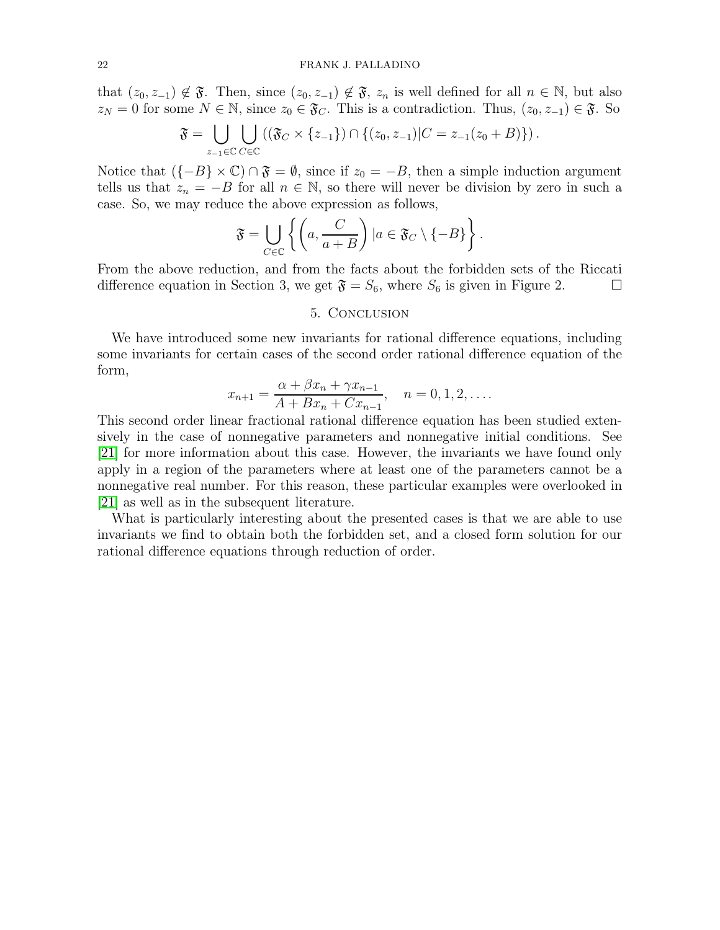that  $(z_0, z_{-1}) \notin \mathfrak{F}$ . Then, since  $(z_0, z_{-1}) \notin \mathfrak{F}$ ,  $z_n$  is well defined for all  $n \in \mathbb{N}$ , but also  $z_N = 0$  for some  $N \in \mathbb{N}$ , since  $z_0 \in \mathfrak{F}_C$ . This is a contradiction. Thus,  $(z_0, z_{-1}) \in \mathfrak{F}$ . So

$$
\mathfrak{F}=\bigcup_{z_{-1}\in\mathbb{C}}\bigcup_{C\in\mathbb{C}}\left((\mathfrak{F}_{C}\times\{z_{-1}\})\cap\{(z_{0},z_{-1})|C=z_{-1}(z_{0}+B)\}\right).
$$

Notice that  $({-B} \times \mathbb{C}) \cap \mathfrak{F} = \emptyset$ , since if  $z_0 = -B$ , then a simple induction argument tells us that  $z_n = -B$  for all  $n \in \mathbb{N}$ , so there will never be division by zero in such a case. So, we may reduce the above expression as follows,

$$
\mathfrak{F} = \bigcup_{C \in \mathbb{C}} \left\{ \left( a, \frac{C}{a+B} \right) \mid a \in \mathfrak{F}_C \setminus \{-B\} \right\}.
$$

From the above reduction, and from the facts about the forbidden sets of the Riccati difference equation in Section 3, we get  $\mathfrak{F} = S_6$ , where  $S_6$  is given in Figure 2.

### 5. Conclusion

We have introduced some new invariants for rational difference equations, including some invariants for certain cases of the second order rational difference equation of the form,

$$
x_{n+1} = \frac{\alpha + \beta x_n + \gamma x_{n-1}}{A + Bx_n + Cx_{n-1}}, \quad n = 0, 1, 2, \dots
$$

This second order linear fractional rational difference equation has been studied extensively in the case of nonnegative parameters and nonnegative initial conditions. See [\[21\]](#page-24-9) for more information about this case. However, the invariants we have found only apply in a region of the parameters where at least one of the parameters cannot be a nonnegative real number. For this reason, these particular examples were overlooked in [\[21\]](#page-24-9) as well as in the subsequent literature.

What is particularly interesting about the presented cases is that we are able to use invariants we find to obtain both the forbidden set, and a closed form solution for our rational difference equations through reduction of order.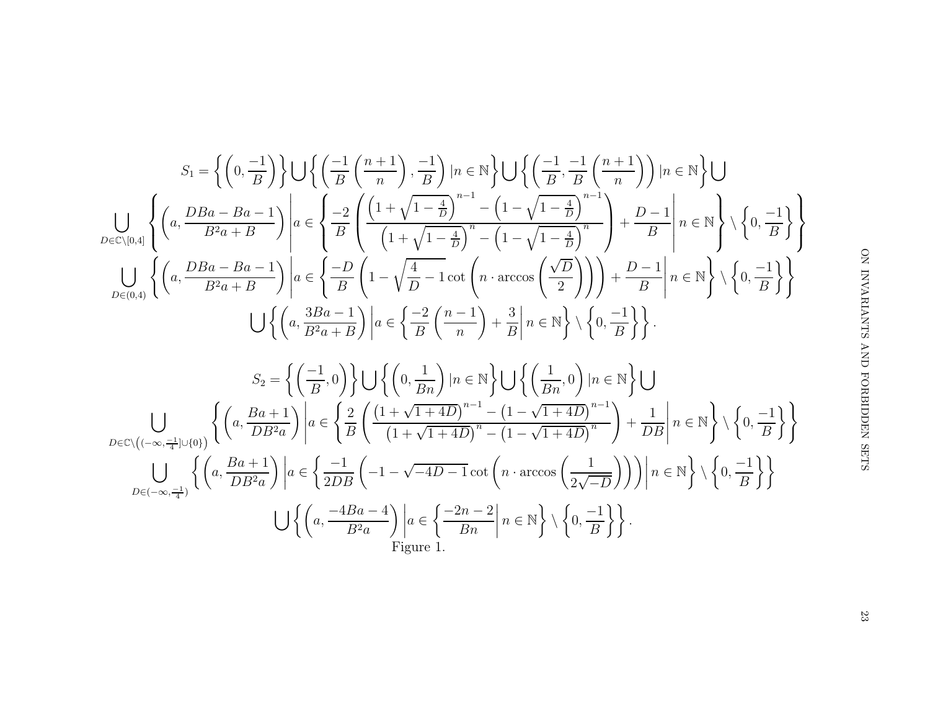$$
\begin{pmatrix}\n\overline{y} & \overline{y} & \overline{y} & \overline{y} \\
\frac{D-1}{B} & \overline{y} & \frac{D-1}{B} & \frac{D-1}{B} \\
\frac{D-1}{B} & \overline{y} & \frac{D-1}{B} & \frac{D-1}{B} \\
\frac{D-1}{B} & \overline{y} & \frac{D-1}{B} & \frac{D}{B}\n\end{pmatrix}
$$
\n
$$
\begin{pmatrix}\n\overline{y} & \overline{y} & \overline{y} \\
\frac{D-1}{B} & \overline{y} & \frac{D}{B} & \frac{D}{B} \\
\frac{D}{B} & \overline{y} & \frac{D}{B} & \frac{D}{B} & \frac{D}{B}\n\end{pmatrix}
$$
\n
$$
\begin{pmatrix}\n\overline{y} & \overline{y} & \frac{D}{B} & \frac{D}{B} \\
\frac{D}{B} & \frac{D}{B} & \frac{D}{B} & \frac{D}{B}\n\end{pmatrix}
$$

$$
S_{1} = \left\{ \left(0, \frac{-1}{B}\right) \right\} \bigcup \left\{ \left(\frac{-1}{B}\left(\frac{n+1}{n}\right), \frac{-1}{B}\right) | n \in \mathbb{N} \right\} \bigcup \left\{ \left(\frac{-1}{B}, \frac{-1}{B}\left(\frac{n+1}{n}\right)\right) | n \in \mathbb{N} \right\} \bigcup \left\{ \left(\frac{-1}{B}, \frac{-1}{B}\left(\frac{n+1}{n}\right)\right) | n \in \mathbb{N} \right\} \bigcup \left\{ \left(\frac{n}{B}, \frac{DBa - Ba - 1}{B^2a + B}\right) \right\} a \in \left\{ \frac{-2}{B} \left(\frac{\left(1 + \sqrt{1 - \frac{4}{D}}\right)^{n-1} - \left(1 - \sqrt{1 - \frac{4}{D}}\right)^{n-1}}{\left(1 - \sqrt{1 - \frac{4}{D}}\right)^n - \left(1 - \sqrt{1 - \frac{4}{D}}\right)^n} \right) + \frac{D - 1}{B} \right\} n \in \mathbb{N} \right\} \setminus \left\{0, \frac{-1}{B}\right\}
$$
  

$$
\bigcup_{D \in (0,4)} \left\{ \left(a, \frac{DBa - Ba - 1}{B^2a + B}\right) \right| a \in \left\{ \frac{-D}{B} \left(1 - \sqrt{\frac{4}{D} - 1} \cot\left(n \cdot \arccos\left(\frac{\sqrt{D}}{2}\right)\right)\right) + \frac{D - 1}{B} \right| n \in \mathbb{N} \right\} \setminus \left\{0, \frac{-1}{B}\right\} \right\}
$$
  

$$
S_{2} = \left\{ \left(\frac{-1}{B}, 0\right) \right\} \bigcup \left\{ \left(0, \frac{1}{Bn}\right) | n \in \mathbb{N} \right\} \bigcup \left\{ \left(\frac{1}{Bn}, 0\right) | n \in \mathbb{N} \right\} \bigcup
$$
  

$$
\bigcup_{D \in \mathbb{C} \setminus \left(\left(-\infty, \frac{-1}{4}\right) \cup \{0\}\} \right) \left\{ \left(a, \frac{Ba + 1}{DB^{2a}}\right) \right| a \in \left\{ \frac{2}{B} \left(\frac{\left(1 + \sqrt{
$$

ON INVARIANTS AND FORBIDDEN SETS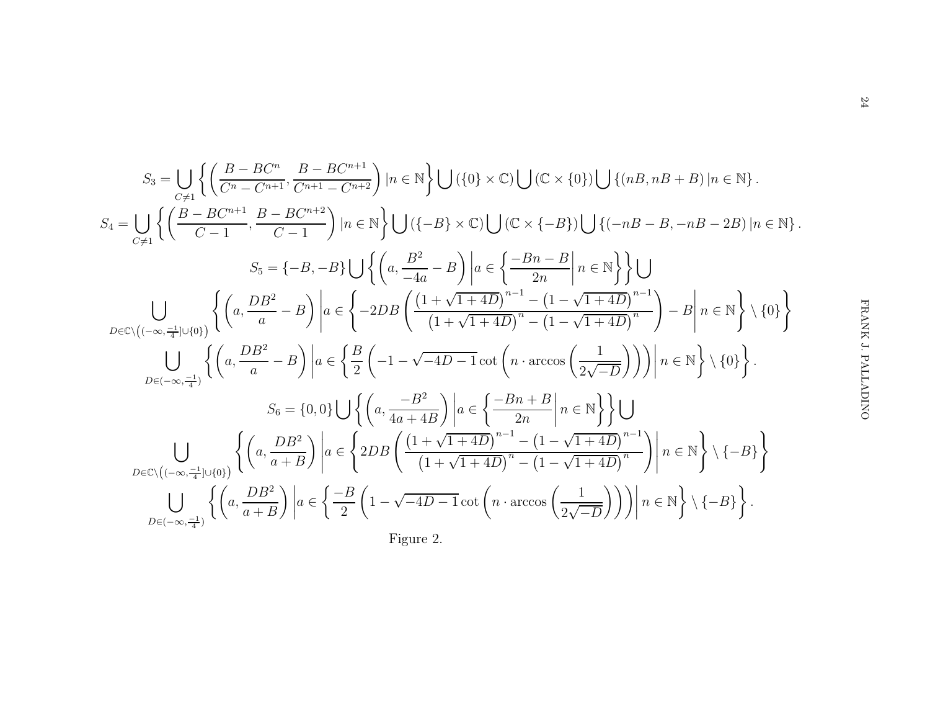$$
S_3 = \bigcup_{C \neq 1} \left\{ \left( \frac{B - BC^n}{C^n - C^{n+1}}, \frac{B - BC^{n+1}}{C^{n+1} - C^{n+2}} \right) | n \in \mathbb{N} \right\} \bigcup (\{0\} \times \mathbb{C}) \bigcup (\mathbb{C} \times \{0\}) \bigcup \{(nB, nB + B) | n \in \mathbb{N} \}.
$$
  
\n
$$
S_4 = \bigcup_{C \neq 1} \left\{ \left( \frac{B - BC^{n+1}}{C - 1}, \frac{B - BC^{n+2}}{C - 1} \right) | n \in \mathbb{N} \right\} \bigcup (\{-B\} \times \mathbb{C}) \bigcup (\mathbb{C} \times \{-B\}) \bigcup \{(-nB - B, -nB - 2B) | n \in \mathbb{N} \}.
$$
  
\n
$$
S_5 = \{-B, -B\} \bigcup \left\{ \left( a, \frac{B^2}{-4a} - B \right) \bigg| a \in \left\{ \frac{-Bn - B}{2n} \bigg| n \in \mathbb{N} \right\} \right\} \bigcup
$$
  
\n
$$
\bigcup_{D \in \mathbb{C} \setminus ((-\infty, \frac{-1}{4} \cup \{0\})} \left\{ \left( a, \frac{DB^2}{a} - B \right) \bigg| a \in \left\{ -2DB \left( \frac{(1 + \sqrt{1 + 4D})^{n-1} - (1 - \sqrt{1 + 4D})^{n-1}}{(1 + \sqrt{1 + 4D})^n - (1 - \sqrt{1 + 4D})^n} \right) - B \bigg| n \in \mathbb{N} \right\} \setminus \{0\} \right\}.
$$
  
\n
$$
S_6 = \{0, 0\} \bigcup \left\{ \left( a, \frac{DB^2}{a} - B \right) \bigg| a \in \left\{ \frac{B}{2} \left( -1 - \sqrt{-4D - 1} \cot \left( n \cdot \arccos \left( \frac{1}{2\sqrt{-D}} \right) \right) \right) \bigg| n \in \mathbb{N} \right\} \setminus \{0\} \right\}.
$$
  
\n
$$
S_6 = \{0, 0\} \bigcup \left\{ \left( a, \frac{-B
$$

Figure 2.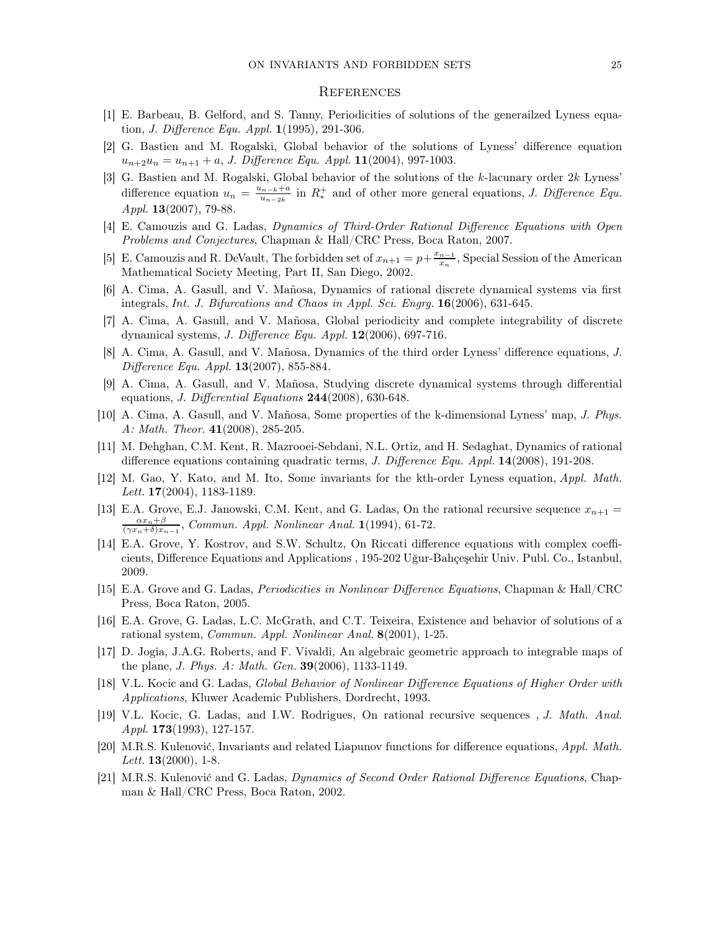#### **REFERENCES**

- [1] E. Barbeau, B. Gelford, and S. Tanny, Periodicities of solutions of the generailzed Lyness equation, J. Difference Equ. Appl. 1(1995), 291-306.
- [2] G. Bastien and M. Rogalski, Global behavior of the solutions of Lyness' difference equation  $u_{n+2}u_n = u_{n+1} + a$ , J. Difference Equ. Appl. 11(2004), 997-1003.
- <span id="page-24-2"></span>[3] G. Bastien and M. Rogalski, Global behavior of the solutions of the  $k$ -lacunary order  $2k$  Lyness' difference equation  $u_n = \frac{u_{n-k}+a}{u_{n-1}}$  $u_{u_1-2k}^{u_1-k+1}$  in  $R_*^+$  and of other more general equations, J. Difference Equ. Appl. **13**(2007), 79-88.
- [4] E. Camouzis and G. Ladas, Dynamics of Third-Order Rational Difference Equations with Open Problems and Conjectures, Chapman & Hall/CRC Press, Boca Raton, 2007.
- [5] E. Camouzis and R. DeVault, The forbidden set of  $x_{n+1} = p + \frac{x_{n-1}}{x_n}$  $\frac{n-1}{x_n}$ , Special Session of the American Mathematical Society Meeting, Part II, San Diego, 2002.
- [6] A. Cima, A. Gasull, and V. Mañosa, Dynamics of rational discrete dynamical systems via first integrals, Int. J. Bifurcations and Chaos in Appl. Sci. Engrg. 16(2006), 631-645.
- [7] A. Cima, A. Gasull, and V. Mañosa, Global periodicity and complete integrability of discrete dynamical systems, J. Difference Equ. Appl. 12(2006), 697-716.
- <span id="page-24-0"></span>[8] A. Cima, A. Gasull, and V. Mañosa, Dynamics of the third order Lyness' difference equations, J. Difference Equ. Appl.  $13(2007)$ , 855-884.
- <span id="page-24-5"></span>[9] A. Cima, A. Gasull, and V. Mañosa, Studying discrete dynamical systems through differential equations, J. Differential Equations 244(2008), 630-648.
- <span id="page-24-3"></span>[10] A. Cima, A. Gasull, and V. Mañosa, Some properties of the k-dimensional Lyness' map, J. Phys. A: Math. Theor.  $41(2008)$ , 285-205.
- [11] M. Dehghan, C.M. Kent, R. Mazrooei-Sebdani, N.L. Ortiz, and H. Sedaghat, Dynamics of rational difference equations containing quadratic terms, J. Difference Equ. Appl. 14(2008), 191-208.
- <span id="page-24-4"></span>[12] M. Gao, Y. Kato, and M. Ito, Some invariants for the kth-order Lyness equation, Appl. Math. *Lett.*  $17(2004)$ ,  $1183-1189$ .
- [13] E.A. Grove, E.J. Janowski, C.M. Kent, and G. Ladas, On the rational recursive sequence  $x_{n+1} =$  $\frac{\alpha x_n + \beta}{(\gamma x_n + \delta)x_{n-1}},$  Commun. Appl. Nonlinear Anal. 1(1994), 61-72.
- <span id="page-24-7"></span>[14] E.A. Grove, Y. Kostrov, and S.W. Schultz, On Riccati difference equations with complex coefficients, Difference Equations and Applications , 195-202 Uğur-Bahçeşehir Univ. Publ. Co., Istanbul, 2009.
- [15] E.A. Grove and G. Ladas, Periodicities in Nonlinear Difference Equations, Chapman & Hall/CRC Press, Boca Raton, 2005.
- <span id="page-24-8"></span>[16] E.A. Grove, G. Ladas, L.C. McGrath, and C.T. Teixeira, Existence and behavior of solutions of a rational system, Commun. Appl. Nonlinear Anal. 8(2001), 1-25.
- <span id="page-24-6"></span>[17] D. Jogia, J.A.G. Roberts, and F. Vivaldi, An algebraic geometric approach to integrable maps of the plane, J. Phys. A: Math. Gen. 39(2006), 1133-1149.
- [18] V.L. Kocic and G. Ladas, Global Behavior of Nonlinear Difference Equations of Higher Order with Applications, Kluwer Academic Publishers, Dordrecht, 1993.
- <span id="page-24-1"></span>[19] V.L. Kocic, G. Ladas, and I.W. Rodrigues, On rational recursive sequences , J. Math. Anal. Appl. 173(1993), 127-157.
- [20] M.R.S. Kulenović, Invariants and related Liapunov functions for difference equations, Appl. Math. *Lett.* **13** $(2000)$ , **1**-8.
- <span id="page-24-9"></span>[21] M.R.S. Kulenović and G. Ladas, Dynamics of Second Order Rational Difference Equations, Chapman & Hall/CRC Press, Boca Raton, 2002.